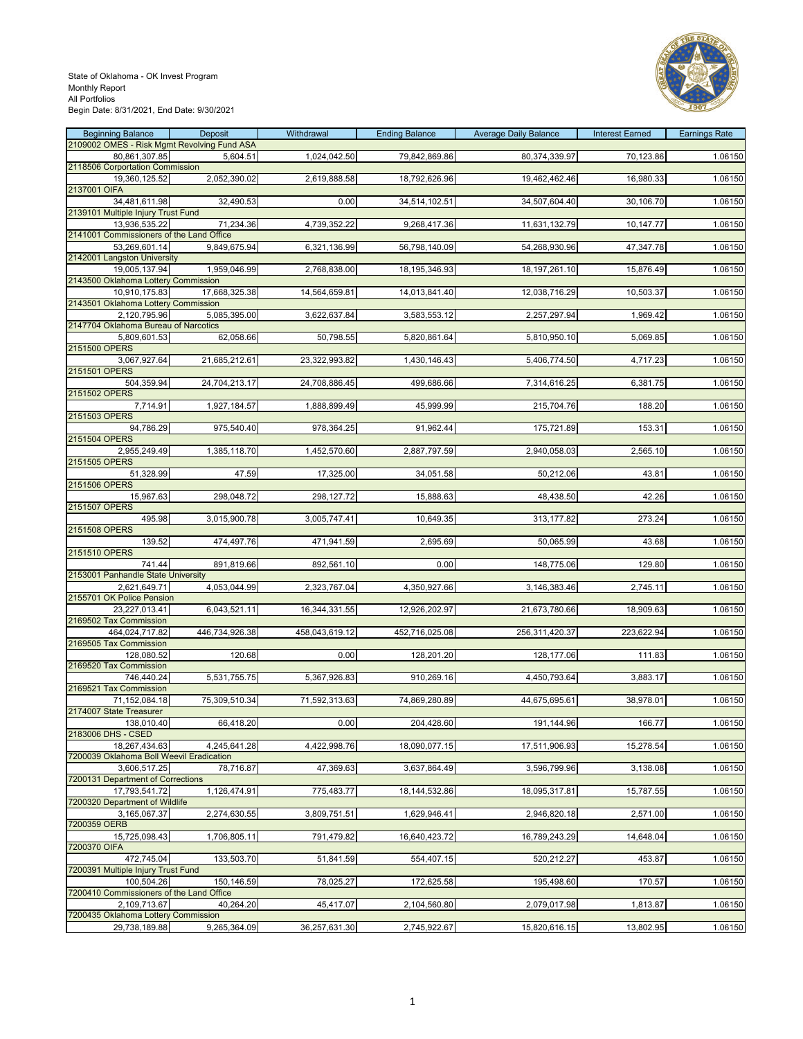

| <b>Beginning Balance</b>                                  | Deposit        | Withdrawal     | <b>Ending Balance</b> | <b>Average Daily Balance</b> | <b>Interest Earned</b> | <b>Earnings Rate</b> |
|-----------------------------------------------------------|----------------|----------------|-----------------------|------------------------------|------------------------|----------------------|
| 2109002 OMES - Risk Mgmt Revolving Fund ASA               |                |                |                       |                              |                        |                      |
| 80,861,307.85<br>2118506 Corportation Commission          | 5,604.51       | 1,024,042.50   | 79,842,869.86         | 80,374,339.97                | 70,123.86              | 1.06150              |
| 19,360,125.52                                             | 2,052,390.02   | 2,619,888.58   | 18,792,626.96         | 19,462,462.46                | 16,980.33              | 1.06150              |
| 2137001 OIFA                                              |                |                |                       |                              |                        |                      |
| 34,481,611.98<br>2139101 Multiple Injury Trust Fund       | 32,490.53      | 0.00           | 34,514,102.51         | 34,507,604.40                | 30,106.70              | 1.06150              |
| 13,936,535.22                                             | 71,234.36      | 4,739,352.22   | 9,268,417.36          | 11,631,132.79                | 10,147.77              | 1.06150              |
| 2141001 Commissioners of the Land Office                  |                |                |                       |                              |                        |                      |
| 53,269,601.14                                             | 9,849,675.94   | 6,321,136.99   | 56,798,140.09         | 54,268,930.96                | 47,347.78              | 1.06150              |
| 2142001 Langston University<br>19,005,137.94              | 1,959,046.99   | 2,768,838.00   | 18,195,346.93         | 18, 197, 261. 10             | 15,876.49              | 1.06150              |
| 2143500 Oklahoma Lottery Commission                       |                |                |                       |                              |                        |                      |
| 10,910,175.83                                             | 17,668,325.38  | 14,564,659.81  | 14,013,841.40         | 12,038,716.29                | 10,503.37              | 1.06150              |
| 2143501 Oklahoma Lottery Commission                       |                |                |                       |                              |                        |                      |
| 2,120,795.96<br>2147704 Oklahoma Bureau of Narcotics      | 5,085,395.00   | 3,622,637.84   | 3,583,553.12          | 2,257,297.94                 | 1,969.42               | 1.06150              |
| 5,809,601.53                                              | 62,058.66      | 50,798.55      | 5,820,861.64          | 5,810,950.10                 | 5,069.85               | 1.06150              |
| 2151500 OPERS                                             |                |                |                       |                              |                        |                      |
| 3,067,927.64                                              | 21,685,212.61  | 23,322,993.82  | 1,430,146.43          | 5,406,774.50                 | 4,717.23               | 1.06150              |
| 2151501 OPERS<br>504,359.94                               | 24,704,213.17  | 24,708,886.45  | 499,686.66            | 7,314,616.25                 | 6,381.75               | 1.06150              |
| 2151502 OPERS                                             |                |                |                       |                              |                        |                      |
| 7,714.91                                                  | 1,927,184.57   | 1,888,899.49   | 45,999.99             | 215,704.76                   | 188.20                 | 1.06150              |
| 2151503 OPERS                                             |                |                |                       |                              |                        |                      |
| 94,786.29<br>2151504 OPERS                                | 975,540.40     | 978,364.25     | 91,962.44             | 175,721.89                   | 153.31                 | 1.06150              |
| 2,955,249.49                                              | 1,385,118.70   | 1,452,570.60   | 2,887,797.59          | 2,940,058.03                 | 2,565.10               | 1.06150              |
| 2151505 OPERS                                             |                |                |                       |                              |                        |                      |
| 51,328.99<br>2151506 OPERS                                | 47.59          | 17,325.00      | 34,051.58             | 50,212.06                    | 43.81                  | 1.06150              |
| 15,967.63                                                 | 298,048.72     | 298,127.72     | 15,888.63             | 48,438.50                    | 42.26                  | 1.06150              |
| 2151507 OPERS                                             |                |                |                       |                              |                        |                      |
| 495.98                                                    | 3,015,900.78   | 3,005,747.41   | 10,649.35             | 313,177.82                   | 273.24                 | 1.06150              |
| 2151508 OPERS<br>139.52                                   | 474,497.76     | 471,941.59     | 2,695.69              | 50,065.99                    | 43.68                  | 1.06150              |
| 2151510 OPERS                                             |                |                |                       |                              |                        |                      |
| 741.44                                                    | 891,819.66     | 892,561.10     | 0.00                  | 148,775.06                   | 129.80                 | 1.06150              |
| 2153001 Panhandle State University                        |                |                |                       |                              |                        |                      |
| 2,621,649.71<br>2155701 OK Police Pension                 | 4,053,044.99   | 2,323,767.04   | 4,350,927.66          | 3,146,383.46                 | 2,745.11               | 1.06150              |
| 23,227,013.41                                             | 6,043,521.11   | 16,344,331.55  | 12,926,202.97         | 21,673,780.66                | 18,909.63              | 1.06150              |
| 2169502 Tax Commission                                    |                |                |                       |                              |                        |                      |
| 464,024,717.82                                            | 446,734,926.38 | 458,043,619.12 | 452,716,025.08        | 256,311,420.37               | 223,622.94             | 1.06150              |
| 2169505 Tax Commission<br>128,080.52                      | 120.68         | 0.00           | 128,201.20            | 128,177.06                   | 111.83                 | 1.06150              |
| 2169520 Tax Commission                                    |                |                |                       |                              |                        |                      |
| 746,440.24                                                | 5,531,755.75   | 5,367,926.83   | 910,269.16            | 4,450,793.64                 | 3,883.17               | 1.06150              |
| 2169521 Tax Commission<br>71,152,084.18                   | 75,309,510.34  |                | 74,869,280.89         | 44,675,695.61                |                        | 1.06150              |
| 2174007 State Treasurer                                   |                | 71,592,313.63  |                       |                              | 38,978.01              |                      |
| 138,010.40                                                | 66,418.20      | 0.00           | 204,428.60            | 191,144.96                   | 166.77                 | 1.06150              |
| 2183006 DHS - CSED                                        |                |                |                       |                              |                        |                      |
| 18,267,434.63<br>7200039 Oklahoma Boll Weevil Eradication | 4,245,641.28   | 4,422,998.76   | 18,090,077.15         | 17,511,906.93                | 15,278.54              | 1.06150              |
| 3,606,517.25                                              | 78,716.87      | 47,369.63      | 3,637,864.49          | 3,596,799.96                 | 3,138.08               | 1.06150              |
| 7200131 Department of Corrections                         |                |                |                       |                              |                        |                      |
| 17,793,541.72                                             | 1,126,474.91   | 775,483.77     | 18,144,532.86         | 18,095,317.81                | 15,787.55              | 1.06150              |
| 7200320 Department of Wildlife<br>3,165,067.37            | 2,274,630.55   | 3,809,751.51   | 1,629,946.41          | 2,946,820.18                 | 2,571.00               | 1.06150              |
| 7200359 OERB                                              |                |                |                       |                              |                        |                      |
| 15,725,098.43                                             | 1,706,805.11   | 791,479.82     | 16,640,423.72         | 16,789,243.29                | 14,648.04              | 1.06150              |
| 7200370 OIFA                                              |                |                |                       |                              |                        |                      |
| 472,745.04<br>7200391 Multiple Injury Trust Fund          | 133,503.70     | 51,841.59      | 554,407.15            | 520,212.27                   | 453.87                 | 1.06150              |
| 100,504.26                                                | 150,146.59     | 78,025.27      | 172,625.58            | 195,498.60                   | 170.57                 | 1.06150              |
| 7200410 Commissioners of the Land Office                  |                |                |                       |                              |                        |                      |
| 2,109,713.67                                              | 40,264.20      | 45,417.07      | 2,104,560.80          | 2,079,017.98                 | 1,813.87               | 1.06150              |
| 7200435 Oklahoma Lottery Commission<br>29,738,189.88      | 9,265,364.09   | 36,257,631.30  | 2,745,922.67          | 15,820,616.15                | 13,802.95              | 1.06150              |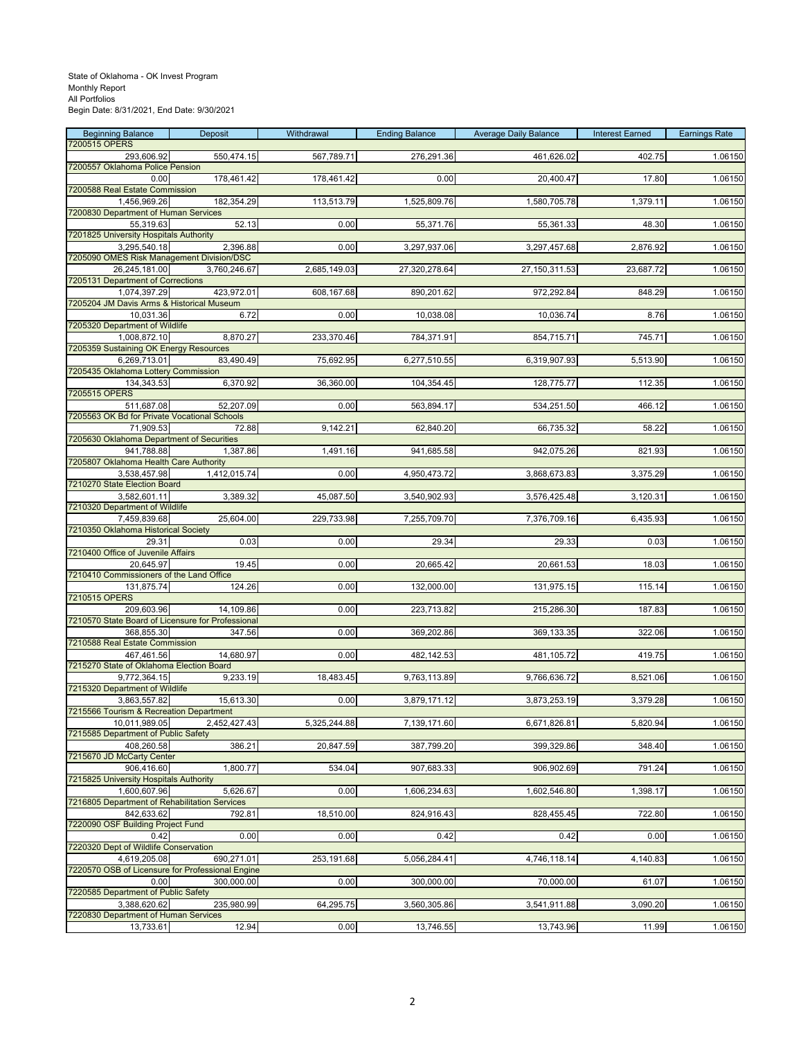| <b>Beginning Balance</b>                                        | Deposit      | Withdrawal   | <b>Ending Balance</b> | <b>Average Daily Balance</b> | <b>Interest Earned</b> | <b>Earnings Rate</b> |
|-----------------------------------------------------------------|--------------|--------------|-----------------------|------------------------------|------------------------|----------------------|
| 7200515 OPERS                                                   |              |              |                       |                              |                        |                      |
| 293,606.92<br>7200557 Oklahoma Police Pension                   | 550,474.15   | 567,789.71   | 276,291.36            | 461,626.02                   | 402.75                 | 1.06150              |
| 0.00                                                            | 178,461.42   | 178,461.42   | 0.00                  | 20,400.47                    | 17.80                  | 1.06150              |
| 7200588 Real Estate Commission                                  |              |              |                       |                              |                        |                      |
| 1.456.969.26                                                    | 182,354.29   | 113,513.79   | 1,525,809.76          | 1,580,705.78                 | 1,379.11               | 1.06150              |
| 7200830 Department of Human Services                            |              |              |                       |                              |                        |                      |
| 55,319.63                                                       | 52.13        | 0.00         | 55,371.76             | 55,361.33                    | 48.30                  | 1.06150              |
| 7201825 University Hospitals Authority<br>3,295,540.18          | 2,396.88     | 0.00         | 3,297,937.06          |                              |                        | 1.06150              |
| 7205090 OMES Risk Management Division/DSC                       |              |              |                       | 3,297,457.68                 | 2,876.92               |                      |
| 26,245,181.00                                                   | 3.760.246.67 | 2,685,149.03 | 27,320,278.64         | 27,150,311.53                | 23,687.72              | 1.06150              |
| 7205131 Department of Corrections                               |              |              |                       |                              |                        |                      |
| 1,074,397.29                                                    | 423,972.01   | 608,167.68   | 890,201.62            | 972,292.84                   | 848.29                 | 1.06150              |
| 7205204 JM Davis Arms & Historical Museum                       |              |              |                       |                              |                        |                      |
| 10.031.36                                                       | 6.72         | 0.00         | 10,038.08             | 10,036.74                    | 8.76                   | 1.06150              |
| 7205320 Department of Wildlife                                  |              |              |                       |                              |                        |                      |
| 1,008,872.10<br>7205359 Sustaining OK Energy Resources          | 8,870.27     | 233,370.46   | 784,371.91            | 854,715.71                   | 745.71                 | 1.06150              |
| 6,269,713.01                                                    | 83,490.49    | 75,692.95    | 6,277,510.55          | 6,319,907.93                 | 5,513.90               | 1.06150              |
| 7205435 Oklahoma Lottery Commission                             |              |              |                       |                              |                        |                      |
| 134,343.53                                                      | 6,370.92     | 36,360.00    | 104,354.45            | 128,775.77                   | 112.35                 | 1.06150              |
| 7205515 OPERS                                                   |              |              |                       |                              |                        |                      |
| 511,687.08                                                      | 52,207.09    | 0.00         | 563,894.17            | 534,251.50                   | 466.12                 | 1.06150              |
| 7205563 OK Bd for Private Vocational Schools                    |              |              |                       |                              |                        |                      |
| 71,909.53<br>7205630 Oklahoma Department of Securities          | 72.88        | 9,142.21     | 62,840.20             | 66,735.32                    | 58.22                  | 1.06150              |
| 941,788.88                                                      | 1,387.86     | 1,491.16     | 941,685.58            | 942,075.26                   | 821.93                 | 1.06150              |
| 7205807 Oklahoma Health Care Authority                          |              |              |                       |                              |                        |                      |
| 3,538,457.98                                                    | 1,412,015.74 | 0.00         | 4,950,473.72          | 3,868,673.83                 | 3,375.29               | 1.06150              |
| 7210270 State Election Board                                    |              |              |                       |                              |                        |                      |
| 3,582,601.11                                                    | 3,389.32     | 45,087.50    | 3,540,902.93          | 3,576,425.48                 | 3,120.31               | 1.06150              |
| 7210320 Department of Wildlife                                  |              |              |                       |                              |                        |                      |
| 7,459,839.68<br>7210350 Oklahoma Historical Society             | 25,604.00    | 229,733.98   | 7,255,709.70          | 7,376,709.16                 | 6,435.93               | 1.06150              |
| 29.31                                                           | 0.03         | 0.00         | 29.34                 | 29.33                        | 0.03                   | 1.06150              |
| 7210400 Office of Juvenile Affairs                              |              |              |                       |                              |                        |                      |
| 20,645.97                                                       | 19.45        | 0.00         | 20,665.42             | 20,661.53                    | 18.03                  | 1.06150              |
| 7210410 Commissioners of the Land Office                        |              |              |                       |                              |                        |                      |
| 131,875.74                                                      | 124.26       | 0.00         | 132,000.00            | 131,975.15                   | 115.14                 | 1.06150              |
| 7210515 OPERS                                                   |              |              |                       |                              |                        |                      |
| 209,603.96<br>7210570 State Board of Licensure for Professional | 14,109.86    | 0.00         | 223,713.82            | 215,286.30                   | 187.83                 | 1.06150              |
| 368,855.30                                                      | 347.56       | 0.00         | 369,202.86            | 369,133.35                   | 322.06                 | 1.06150              |
| 7210588 Real Estate Commission                                  |              |              |                       |                              |                        |                      |
| 467,461.56                                                      | 14,680.97    | 0.00         | 482,142.53            | 481,105.72                   | 419.75                 | 1.06150              |
| 7215270 State of Oklahoma Election Board                        |              |              |                       |                              |                        |                      |
| 9,772,364.15                                                    | 9,233.19     | 18,483.45    | 9,763,113.89          | 9,766,636.72                 | 8,521.06               | 1.06150              |
| 7215320 Department of Wildlife<br>3,863,557.82                  | 15,613.30    | 0.00         |                       | 3,873,253.19                 | 3,379.28               | 1.06150              |
| 7215566 Tourism & Recreation Department                         |              |              | 3,879,171.12          |                              |                        |                      |
| 10,011,989.05                                                   | 2,452,427.43 | 5,325,244.88 | 7,139,171.60          | 6,671,826.81                 | 5,820.94               | 1.06150              |
| 7215585 Department of Public Safety                             |              |              |                       |                              |                        |                      |
| 408,260.58                                                      | 386.21       | 20,847.59    | 387,799.20            | 399,329.86                   | 348.40                 | 1.06150              |
| 7215670 JD McCarty Center                                       |              |              |                       |                              |                        |                      |
| 906,416.60                                                      | 1,800.77     | 534.04       | 907,683.33            | 906,902.69                   | 791.24                 | 1.06150              |
| 7215825 University Hospitals Authority<br>1,600,607.96          | 5,626.67     | 0.00         | 1,606,234.63          | 1,602,546.80                 | 1,398.17               | 1.06150              |
| 7216805 Department of Rehabilitation Services                   |              |              |                       |                              |                        |                      |
| 842,633.62                                                      | 792.81       | 18,510.00    | 824,916.43            | 828,455.45                   | 722.80                 | 1.06150              |
| 7220090 OSF Building Project Fund                               |              |              |                       |                              |                        |                      |
| 0.42                                                            | 0.00         | 0.00         | 0.42                  | 0.42                         | 0.00                   | 1.06150              |
| 7220320 Dept of Wildlife Conservation                           |              |              |                       |                              |                        |                      |
| 4,619,205.08                                                    | 690,271.01   | 253,191.68   | 5,056,284.41          | 4,746,118.14                 | 4,140.83               | 1.06150              |
| 7220570 OSB of Licensure for Professional Engine<br>0.00        | 300,000.00   | 0.00         | 300,000.00            | 70,000.00                    | 61.07                  | 1.06150              |
| 7220585 Department of Public Safety                             |              |              |                       |                              |                        |                      |
| 3,388,620.62                                                    | 235,980.99   | 64,295.75    | 3,560,305.86          | 3,541,911.88                 | 3,090.20               | 1.06150              |
| 7220830 Department of Human Services                            |              |              |                       |                              |                        |                      |
| 13,733.61                                                       | 12.94        | 0.00         | 13,746.55             | 13,743.96                    | 11.99                  | 1.06150              |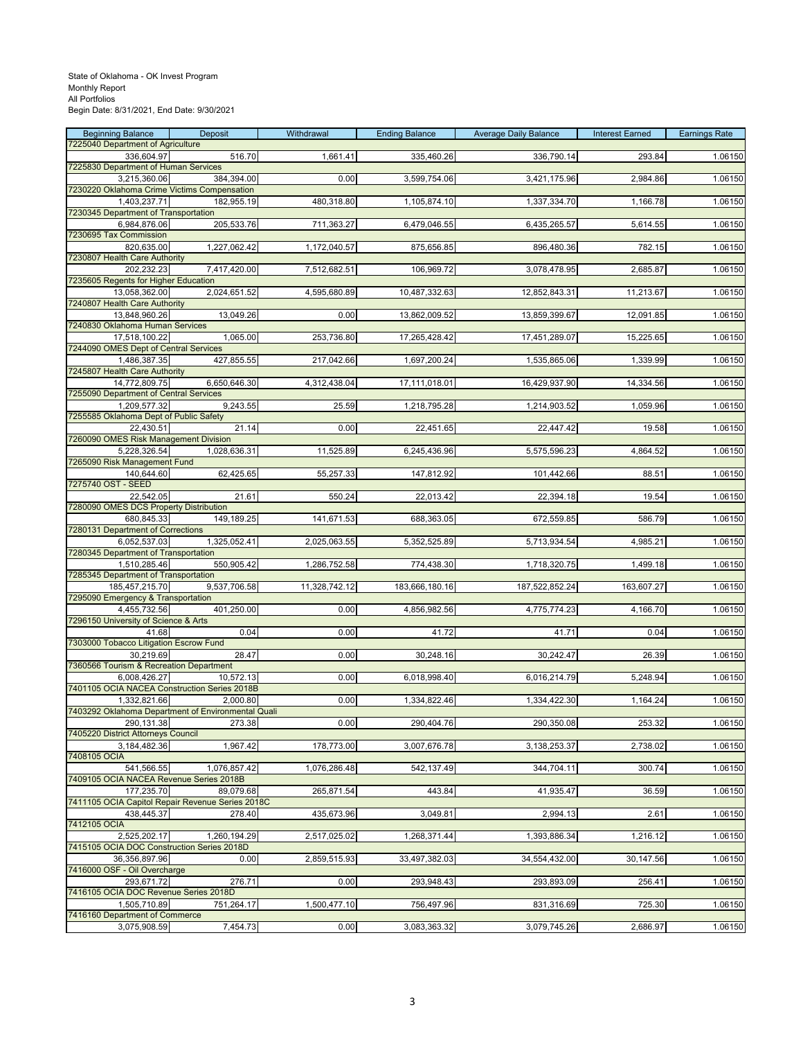| 7225040 Department of Agriculture<br>516.70<br>1,661.41<br>335,460.26<br>336,790.14<br>293.84<br>1.06150<br>336,604.97<br>7225830 Department of Human Services<br>384,394.00<br>0.00<br>3,599,754.06<br>2,984.86<br>1.06150<br>3,215,360.06<br>3,421,175.96<br>7230220 Oklahoma Crime Victims Compensation<br>480,318.80<br>1,105,874.10<br>1,337,334.70<br>1,166.78<br>1.06150<br>1,403,237.71<br>182,955.19<br>7230345 Department of Transportation<br>6,984,876.06<br>205,533.76<br>711,363.27<br>6,479,046.55<br>6,435,265.57<br>5,614.55<br>1.06150<br>7230695 Tax Commission<br>1,227,062.42<br>1,172,040.57<br>875,656.85<br>896,480.36<br>782.15<br>1.06150<br>820,635.00<br>7230807 Health Care Authority<br>202,232.23<br>7,417,420.00<br>7,512,682.51<br>106,969.72<br>3,078,478.95<br>2,685.87<br>1.06150<br>7235605 Regents for Higher Education<br>2,024,651.52<br>11,213.67<br>1.06150<br>13,058,362.00<br>4,595,680.89<br>10,487,332.63<br>12,852,843.31<br>7240807 Health Care Authority<br>13,049.26<br>0.00<br>13,862,009.52<br>13,859,399.67<br>12,091.85<br>1.06150<br>13,848,960.26<br>7240830 Oklahoma Human Services<br>1,065.00<br>1.06150<br>17,518,100.22<br>253,736.80<br>17,265,428.42<br>17,451,289.07<br>15,225.65<br>7244090 OMES Dept of Central Services<br>427,855.55<br>1,486,387.35<br>217,042.66<br>1,697,200.24<br>1,535,865.06<br>1,339.99<br>1.06150<br>7245807 Health Care Authority<br>6,650,646.30<br>17,111,018.01<br>1.06150<br>14,772,809.75<br>4,312,438.04<br>16,429,937.90<br>14,334.56<br>7255090 Department of Central Services<br>9,243.55<br>25.59<br>1,218,795.28<br>1,214,903.52<br>1,059.96<br>1.06150<br>1,209,577.32<br>7255585 Oklahoma Dept of Public Safety<br>21.14<br>0.00<br>22,451.65<br>1.06150<br>22,430.51<br>22,447.42<br>19.58<br>7260090 OMES Risk Management Division<br>5,228,326.54<br>1,028,636.31<br>11,525.89<br>6,245,436.96<br>5,575,596.23<br>4,864.52<br>1.06150<br>7265090 Risk Management Fund<br>62,425.65<br>55,257.33<br>147,812.92<br>101,442.66<br>88.51<br>1.06150<br>140,644.60<br>21.61<br>22,013.42<br>22,394.18<br>1.06150<br>22,542.05<br>550.24<br>19.54<br>7280090 OMES DCS Property Distribution<br>149,189.25<br>680,845.33<br>141,671.53<br>688,363.05<br>672,559.85<br>586.79<br>1.06150<br>7280131 Department of Corrections<br>1,325,052.41<br>6,052,537.03<br>2,025,063.55<br>5,352,525.89<br>5,713,934.54<br>4,985.21<br>1.06150<br>7280345 Department of Transportation<br>550,905.42<br>1,286,752.58<br>774,438.30<br>1,718,320.75<br>1,499.18<br>1.06150<br>1,510,285.46<br>7285345 Department of Transportation<br>9,537,706.58<br>185,457,215.70<br>11,328,742.12<br>183,666,180.16<br>187,522,852.24<br>163,607.27<br>1.06150<br>7295090 Emergency & Transportation<br>4,455,732.56<br>401,250.00<br>0.00<br>4,856,982.56<br>4,775,774.23<br>4,166.70<br>1.06150<br>7296150 University of Science & Arts<br>41.68<br>0.04<br>0.00<br>41.72<br>0.04<br>41.71<br>1.06150<br>7303000 Tobacco Litigation Escrow Fund<br>28.47<br>1.06150<br>30,219.69<br>0.00<br>30,248.16<br>30,242.47<br>26.39<br>7360566 Tourism & Recreation Department<br>0.00<br>6,018,998.40<br>6,016,214.79<br>5,248.94<br>1.06150<br>6,008,426.27<br>10,572.13<br>7401105 OCIA NACEA Construction Series 2018B<br>1.06150<br>1,332,821.66<br>2,000.80<br>0.00<br>1,334,822.46<br>1,334,422.30<br>1,164.24<br>7403292 Oklahoma Department of Environmental Quali<br>290,131.38<br>273.38<br>1.06150<br>0.00<br>290,404.76<br>290,350.08<br>253.32<br>7405220 District Attorneys Council<br>3,184,482.36<br>1,967.42<br>178,773.00<br>3,007,676.78<br>3,138,253.37<br>2,738.02<br>1.06150<br>7408105 OCIA<br>541,566.55<br>1.06150<br>1,076,857.42<br>1,076,286.48<br>542,137.49<br>344,704.11<br>300.74<br>7409105 OCIA NACEA Revenue Series 2018B<br>177,235.70<br>89,079.68<br>265,871.54<br>443.84<br>41,935.47<br>36.59<br>1.06150<br>7411105 OCIA Capitol Repair Revenue Series 2018C<br>278.40<br>435,673.96<br>3,049.81<br>2,994.13<br>2.61<br>1.06150<br>438,445.37<br>7412105 OCIA<br>2,525,202.17<br>1,260,194.29<br>1,268,371.44<br>1,216.12<br>1.06150<br>2,517,025.02<br>1,393,886.34<br>7415105 OCIA DOC Construction Series 2018D<br>2,859,515.93<br>33,497,382.03<br>34,554,432.00<br>30,147.56<br>1.06150<br>36,356,897.96<br>0.00<br>7416000 OSF - Oil Overcharge<br>293,671.72<br>276.71<br>0.00<br>293,948.43<br>293,893.09<br>256.41<br>1.06150<br>7416105 OCIA DOC Revenue Series 2018D<br>751,264.17<br>1,500,477.10<br>756,497.96<br>831,316.69<br>725.30<br>1.06150<br>1,505,710.89<br>7416160 Department of Commerce<br>7,454.73<br>3,083,363.32<br>3,079,745.26<br>2,686.97<br>1.06150<br>3,075,908.59<br>0.00 | <b>Beginning Balance</b> | Deposit | Withdrawal | <b>Ending Balance</b> | <b>Average Daily Balance</b> | <b>Interest Earned</b> | <b>Earnings Rate</b> |
|------------------------------------------------------------------------------------------------------------------------------------------------------------------------------------------------------------------------------------------------------------------------------------------------------------------------------------------------------------------------------------------------------------------------------------------------------------------------------------------------------------------------------------------------------------------------------------------------------------------------------------------------------------------------------------------------------------------------------------------------------------------------------------------------------------------------------------------------------------------------------------------------------------------------------------------------------------------------------------------------------------------------------------------------------------------------------------------------------------------------------------------------------------------------------------------------------------------------------------------------------------------------------------------------------------------------------------------------------------------------------------------------------------------------------------------------------------------------------------------------------------------------------------------------------------------------------------------------------------------------------------------------------------------------------------------------------------------------------------------------------------------------------------------------------------------------------------------------------------------------------------------------------------------------------------------------------------------------------------------------------------------------------------------------------------------------------------------------------------------------------------------------------------------------------------------------------------------------------------------------------------------------------------------------------------------------------------------------------------------------------------------------------------------------------------------------------------------------------------------------------------------------------------------------------------------------------------------------------------------------------------------------------------------------------------------------------------------------------------------------------------------------------------------------------------------------------------------------------------------------------------------------------------------------------------------------------------------------------------------------------------------------------------------------------------------------------------------------------------------------------------------------------------------------------------------------------------------------------------------------------------------------------------------------------------------------------------------------------------------------------------------------------------------------------------------------------------------------------------------------------------------------------------------------------------------------------------------------------------------------------------------------------------------------------------------------------------------------------------------------------------------------------------------------------------------------------------------------------------------------------------------------------------------------------------------------------------------------------------------------------------------------------------------------------------------------------------------------------------------------------------------------------------------------------------------------------------------------------------------------------------------------------------------------------------------------------------------------------------------------------------------------------------------------------------------------------------------------------------------------------------------------------------------------------------------------------------------------------------------------------------------------------------------------------------------------------------------------------|--------------------------|---------|------------|-----------------------|------------------------------|------------------------|----------------------|
|                                                                                                                                                                                                                                                                                                                                                                                                                                                                                                                                                                                                                                                                                                                                                                                                                                                                                                                                                                                                                                                                                                                                                                                                                                                                                                                                                                                                                                                                                                                                                                                                                                                                                                                                                                                                                                                                                                                                                                                                                                                                                                                                                                                                                                                                                                                                                                                                                                                                                                                                                                                                                                                                                                                                                                                                                                                                                                                                                                                                                                                                                                                                                                                                                                                                                                                                                                                                                                                                                                                                                                                                                                                                                                                                                                                                                                                                                                                                                                                                                                                                                                                                                                                                                                                                                                                                                                                                                                                                                                                                                                                                                                                                                                                              |                          |         |            |                       |                              |                        |                      |
|                                                                                                                                                                                                                                                                                                                                                                                                                                                                                                                                                                                                                                                                                                                                                                                                                                                                                                                                                                                                                                                                                                                                                                                                                                                                                                                                                                                                                                                                                                                                                                                                                                                                                                                                                                                                                                                                                                                                                                                                                                                                                                                                                                                                                                                                                                                                                                                                                                                                                                                                                                                                                                                                                                                                                                                                                                                                                                                                                                                                                                                                                                                                                                                                                                                                                                                                                                                                                                                                                                                                                                                                                                                                                                                                                                                                                                                                                                                                                                                                                                                                                                                                                                                                                                                                                                                                                                                                                                                                                                                                                                                                                                                                                                                              |                          |         |            |                       |                              |                        |                      |
|                                                                                                                                                                                                                                                                                                                                                                                                                                                                                                                                                                                                                                                                                                                                                                                                                                                                                                                                                                                                                                                                                                                                                                                                                                                                                                                                                                                                                                                                                                                                                                                                                                                                                                                                                                                                                                                                                                                                                                                                                                                                                                                                                                                                                                                                                                                                                                                                                                                                                                                                                                                                                                                                                                                                                                                                                                                                                                                                                                                                                                                                                                                                                                                                                                                                                                                                                                                                                                                                                                                                                                                                                                                                                                                                                                                                                                                                                                                                                                                                                                                                                                                                                                                                                                                                                                                                                                                                                                                                                                                                                                                                                                                                                                                              |                          |         |            |                       |                              |                        |                      |
|                                                                                                                                                                                                                                                                                                                                                                                                                                                                                                                                                                                                                                                                                                                                                                                                                                                                                                                                                                                                                                                                                                                                                                                                                                                                                                                                                                                                                                                                                                                                                                                                                                                                                                                                                                                                                                                                                                                                                                                                                                                                                                                                                                                                                                                                                                                                                                                                                                                                                                                                                                                                                                                                                                                                                                                                                                                                                                                                                                                                                                                                                                                                                                                                                                                                                                                                                                                                                                                                                                                                                                                                                                                                                                                                                                                                                                                                                                                                                                                                                                                                                                                                                                                                                                                                                                                                                                                                                                                                                                                                                                                                                                                                                                                              |                          |         |            |                       |                              |                        |                      |
|                                                                                                                                                                                                                                                                                                                                                                                                                                                                                                                                                                                                                                                                                                                                                                                                                                                                                                                                                                                                                                                                                                                                                                                                                                                                                                                                                                                                                                                                                                                                                                                                                                                                                                                                                                                                                                                                                                                                                                                                                                                                                                                                                                                                                                                                                                                                                                                                                                                                                                                                                                                                                                                                                                                                                                                                                                                                                                                                                                                                                                                                                                                                                                                                                                                                                                                                                                                                                                                                                                                                                                                                                                                                                                                                                                                                                                                                                                                                                                                                                                                                                                                                                                                                                                                                                                                                                                                                                                                                                                                                                                                                                                                                                                                              |                          |         |            |                       |                              |                        |                      |
|                                                                                                                                                                                                                                                                                                                                                                                                                                                                                                                                                                                                                                                                                                                                                                                                                                                                                                                                                                                                                                                                                                                                                                                                                                                                                                                                                                                                                                                                                                                                                                                                                                                                                                                                                                                                                                                                                                                                                                                                                                                                                                                                                                                                                                                                                                                                                                                                                                                                                                                                                                                                                                                                                                                                                                                                                                                                                                                                                                                                                                                                                                                                                                                                                                                                                                                                                                                                                                                                                                                                                                                                                                                                                                                                                                                                                                                                                                                                                                                                                                                                                                                                                                                                                                                                                                                                                                                                                                                                                                                                                                                                                                                                                                                              |                          |         |            |                       |                              |                        |                      |
|                                                                                                                                                                                                                                                                                                                                                                                                                                                                                                                                                                                                                                                                                                                                                                                                                                                                                                                                                                                                                                                                                                                                                                                                                                                                                                                                                                                                                                                                                                                                                                                                                                                                                                                                                                                                                                                                                                                                                                                                                                                                                                                                                                                                                                                                                                                                                                                                                                                                                                                                                                                                                                                                                                                                                                                                                                                                                                                                                                                                                                                                                                                                                                                                                                                                                                                                                                                                                                                                                                                                                                                                                                                                                                                                                                                                                                                                                                                                                                                                                                                                                                                                                                                                                                                                                                                                                                                                                                                                                                                                                                                                                                                                                                                              |                          |         |            |                       |                              |                        |                      |
|                                                                                                                                                                                                                                                                                                                                                                                                                                                                                                                                                                                                                                                                                                                                                                                                                                                                                                                                                                                                                                                                                                                                                                                                                                                                                                                                                                                                                                                                                                                                                                                                                                                                                                                                                                                                                                                                                                                                                                                                                                                                                                                                                                                                                                                                                                                                                                                                                                                                                                                                                                                                                                                                                                                                                                                                                                                                                                                                                                                                                                                                                                                                                                                                                                                                                                                                                                                                                                                                                                                                                                                                                                                                                                                                                                                                                                                                                                                                                                                                                                                                                                                                                                                                                                                                                                                                                                                                                                                                                                                                                                                                                                                                                                                              |                          |         |            |                       |                              |                        |                      |
|                                                                                                                                                                                                                                                                                                                                                                                                                                                                                                                                                                                                                                                                                                                                                                                                                                                                                                                                                                                                                                                                                                                                                                                                                                                                                                                                                                                                                                                                                                                                                                                                                                                                                                                                                                                                                                                                                                                                                                                                                                                                                                                                                                                                                                                                                                                                                                                                                                                                                                                                                                                                                                                                                                                                                                                                                                                                                                                                                                                                                                                                                                                                                                                                                                                                                                                                                                                                                                                                                                                                                                                                                                                                                                                                                                                                                                                                                                                                                                                                                                                                                                                                                                                                                                                                                                                                                                                                                                                                                                                                                                                                                                                                                                                              |                          |         |            |                       |                              |                        |                      |
|                                                                                                                                                                                                                                                                                                                                                                                                                                                                                                                                                                                                                                                                                                                                                                                                                                                                                                                                                                                                                                                                                                                                                                                                                                                                                                                                                                                                                                                                                                                                                                                                                                                                                                                                                                                                                                                                                                                                                                                                                                                                                                                                                                                                                                                                                                                                                                                                                                                                                                                                                                                                                                                                                                                                                                                                                                                                                                                                                                                                                                                                                                                                                                                                                                                                                                                                                                                                                                                                                                                                                                                                                                                                                                                                                                                                                                                                                                                                                                                                                                                                                                                                                                                                                                                                                                                                                                                                                                                                                                                                                                                                                                                                                                                              |                          |         |            |                       |                              |                        |                      |
|                                                                                                                                                                                                                                                                                                                                                                                                                                                                                                                                                                                                                                                                                                                                                                                                                                                                                                                                                                                                                                                                                                                                                                                                                                                                                                                                                                                                                                                                                                                                                                                                                                                                                                                                                                                                                                                                                                                                                                                                                                                                                                                                                                                                                                                                                                                                                                                                                                                                                                                                                                                                                                                                                                                                                                                                                                                                                                                                                                                                                                                                                                                                                                                                                                                                                                                                                                                                                                                                                                                                                                                                                                                                                                                                                                                                                                                                                                                                                                                                                                                                                                                                                                                                                                                                                                                                                                                                                                                                                                                                                                                                                                                                                                                              |                          |         |            |                       |                              |                        |                      |
|                                                                                                                                                                                                                                                                                                                                                                                                                                                                                                                                                                                                                                                                                                                                                                                                                                                                                                                                                                                                                                                                                                                                                                                                                                                                                                                                                                                                                                                                                                                                                                                                                                                                                                                                                                                                                                                                                                                                                                                                                                                                                                                                                                                                                                                                                                                                                                                                                                                                                                                                                                                                                                                                                                                                                                                                                                                                                                                                                                                                                                                                                                                                                                                                                                                                                                                                                                                                                                                                                                                                                                                                                                                                                                                                                                                                                                                                                                                                                                                                                                                                                                                                                                                                                                                                                                                                                                                                                                                                                                                                                                                                                                                                                                                              |                          |         |            |                       |                              |                        |                      |
|                                                                                                                                                                                                                                                                                                                                                                                                                                                                                                                                                                                                                                                                                                                                                                                                                                                                                                                                                                                                                                                                                                                                                                                                                                                                                                                                                                                                                                                                                                                                                                                                                                                                                                                                                                                                                                                                                                                                                                                                                                                                                                                                                                                                                                                                                                                                                                                                                                                                                                                                                                                                                                                                                                                                                                                                                                                                                                                                                                                                                                                                                                                                                                                                                                                                                                                                                                                                                                                                                                                                                                                                                                                                                                                                                                                                                                                                                                                                                                                                                                                                                                                                                                                                                                                                                                                                                                                                                                                                                                                                                                                                                                                                                                                              |                          |         |            |                       |                              |                        |                      |
|                                                                                                                                                                                                                                                                                                                                                                                                                                                                                                                                                                                                                                                                                                                                                                                                                                                                                                                                                                                                                                                                                                                                                                                                                                                                                                                                                                                                                                                                                                                                                                                                                                                                                                                                                                                                                                                                                                                                                                                                                                                                                                                                                                                                                                                                                                                                                                                                                                                                                                                                                                                                                                                                                                                                                                                                                                                                                                                                                                                                                                                                                                                                                                                                                                                                                                                                                                                                                                                                                                                                                                                                                                                                                                                                                                                                                                                                                                                                                                                                                                                                                                                                                                                                                                                                                                                                                                                                                                                                                                                                                                                                                                                                                                                              |                          |         |            |                       |                              |                        |                      |
|                                                                                                                                                                                                                                                                                                                                                                                                                                                                                                                                                                                                                                                                                                                                                                                                                                                                                                                                                                                                                                                                                                                                                                                                                                                                                                                                                                                                                                                                                                                                                                                                                                                                                                                                                                                                                                                                                                                                                                                                                                                                                                                                                                                                                                                                                                                                                                                                                                                                                                                                                                                                                                                                                                                                                                                                                                                                                                                                                                                                                                                                                                                                                                                                                                                                                                                                                                                                                                                                                                                                                                                                                                                                                                                                                                                                                                                                                                                                                                                                                                                                                                                                                                                                                                                                                                                                                                                                                                                                                                                                                                                                                                                                                                                              |                          |         |            |                       |                              |                        |                      |
|                                                                                                                                                                                                                                                                                                                                                                                                                                                                                                                                                                                                                                                                                                                                                                                                                                                                                                                                                                                                                                                                                                                                                                                                                                                                                                                                                                                                                                                                                                                                                                                                                                                                                                                                                                                                                                                                                                                                                                                                                                                                                                                                                                                                                                                                                                                                                                                                                                                                                                                                                                                                                                                                                                                                                                                                                                                                                                                                                                                                                                                                                                                                                                                                                                                                                                                                                                                                                                                                                                                                                                                                                                                                                                                                                                                                                                                                                                                                                                                                                                                                                                                                                                                                                                                                                                                                                                                                                                                                                                                                                                                                                                                                                                                              |                          |         |            |                       |                              |                        |                      |
|                                                                                                                                                                                                                                                                                                                                                                                                                                                                                                                                                                                                                                                                                                                                                                                                                                                                                                                                                                                                                                                                                                                                                                                                                                                                                                                                                                                                                                                                                                                                                                                                                                                                                                                                                                                                                                                                                                                                                                                                                                                                                                                                                                                                                                                                                                                                                                                                                                                                                                                                                                                                                                                                                                                                                                                                                                                                                                                                                                                                                                                                                                                                                                                                                                                                                                                                                                                                                                                                                                                                                                                                                                                                                                                                                                                                                                                                                                                                                                                                                                                                                                                                                                                                                                                                                                                                                                                                                                                                                                                                                                                                                                                                                                                              |                          |         |            |                       |                              |                        |                      |
|                                                                                                                                                                                                                                                                                                                                                                                                                                                                                                                                                                                                                                                                                                                                                                                                                                                                                                                                                                                                                                                                                                                                                                                                                                                                                                                                                                                                                                                                                                                                                                                                                                                                                                                                                                                                                                                                                                                                                                                                                                                                                                                                                                                                                                                                                                                                                                                                                                                                                                                                                                                                                                                                                                                                                                                                                                                                                                                                                                                                                                                                                                                                                                                                                                                                                                                                                                                                                                                                                                                                                                                                                                                                                                                                                                                                                                                                                                                                                                                                                                                                                                                                                                                                                                                                                                                                                                                                                                                                                                                                                                                                                                                                                                                              |                          |         |            |                       |                              |                        |                      |
|                                                                                                                                                                                                                                                                                                                                                                                                                                                                                                                                                                                                                                                                                                                                                                                                                                                                                                                                                                                                                                                                                                                                                                                                                                                                                                                                                                                                                                                                                                                                                                                                                                                                                                                                                                                                                                                                                                                                                                                                                                                                                                                                                                                                                                                                                                                                                                                                                                                                                                                                                                                                                                                                                                                                                                                                                                                                                                                                                                                                                                                                                                                                                                                                                                                                                                                                                                                                                                                                                                                                                                                                                                                                                                                                                                                                                                                                                                                                                                                                                                                                                                                                                                                                                                                                                                                                                                                                                                                                                                                                                                                                                                                                                                                              |                          |         |            |                       |                              |                        |                      |
|                                                                                                                                                                                                                                                                                                                                                                                                                                                                                                                                                                                                                                                                                                                                                                                                                                                                                                                                                                                                                                                                                                                                                                                                                                                                                                                                                                                                                                                                                                                                                                                                                                                                                                                                                                                                                                                                                                                                                                                                                                                                                                                                                                                                                                                                                                                                                                                                                                                                                                                                                                                                                                                                                                                                                                                                                                                                                                                                                                                                                                                                                                                                                                                                                                                                                                                                                                                                                                                                                                                                                                                                                                                                                                                                                                                                                                                                                                                                                                                                                                                                                                                                                                                                                                                                                                                                                                                                                                                                                                                                                                                                                                                                                                                              |                          |         |            |                       |                              |                        |                      |
|                                                                                                                                                                                                                                                                                                                                                                                                                                                                                                                                                                                                                                                                                                                                                                                                                                                                                                                                                                                                                                                                                                                                                                                                                                                                                                                                                                                                                                                                                                                                                                                                                                                                                                                                                                                                                                                                                                                                                                                                                                                                                                                                                                                                                                                                                                                                                                                                                                                                                                                                                                                                                                                                                                                                                                                                                                                                                                                                                                                                                                                                                                                                                                                                                                                                                                                                                                                                                                                                                                                                                                                                                                                                                                                                                                                                                                                                                                                                                                                                                                                                                                                                                                                                                                                                                                                                                                                                                                                                                                                                                                                                                                                                                                                              |                          |         |            |                       |                              |                        |                      |
|                                                                                                                                                                                                                                                                                                                                                                                                                                                                                                                                                                                                                                                                                                                                                                                                                                                                                                                                                                                                                                                                                                                                                                                                                                                                                                                                                                                                                                                                                                                                                                                                                                                                                                                                                                                                                                                                                                                                                                                                                                                                                                                                                                                                                                                                                                                                                                                                                                                                                                                                                                                                                                                                                                                                                                                                                                                                                                                                                                                                                                                                                                                                                                                                                                                                                                                                                                                                                                                                                                                                                                                                                                                                                                                                                                                                                                                                                                                                                                                                                                                                                                                                                                                                                                                                                                                                                                                                                                                                                                                                                                                                                                                                                                                              |                          |         |            |                       |                              |                        |                      |
|                                                                                                                                                                                                                                                                                                                                                                                                                                                                                                                                                                                                                                                                                                                                                                                                                                                                                                                                                                                                                                                                                                                                                                                                                                                                                                                                                                                                                                                                                                                                                                                                                                                                                                                                                                                                                                                                                                                                                                                                                                                                                                                                                                                                                                                                                                                                                                                                                                                                                                                                                                                                                                                                                                                                                                                                                                                                                                                                                                                                                                                                                                                                                                                                                                                                                                                                                                                                                                                                                                                                                                                                                                                                                                                                                                                                                                                                                                                                                                                                                                                                                                                                                                                                                                                                                                                                                                                                                                                                                                                                                                                                                                                                                                                              |                          |         |            |                       |                              |                        |                      |
|                                                                                                                                                                                                                                                                                                                                                                                                                                                                                                                                                                                                                                                                                                                                                                                                                                                                                                                                                                                                                                                                                                                                                                                                                                                                                                                                                                                                                                                                                                                                                                                                                                                                                                                                                                                                                                                                                                                                                                                                                                                                                                                                                                                                                                                                                                                                                                                                                                                                                                                                                                                                                                                                                                                                                                                                                                                                                                                                                                                                                                                                                                                                                                                                                                                                                                                                                                                                                                                                                                                                                                                                                                                                                                                                                                                                                                                                                                                                                                                                                                                                                                                                                                                                                                                                                                                                                                                                                                                                                                                                                                                                                                                                                                                              | 7275740 OST - SEED       |         |            |                       |                              |                        |                      |
|                                                                                                                                                                                                                                                                                                                                                                                                                                                                                                                                                                                                                                                                                                                                                                                                                                                                                                                                                                                                                                                                                                                                                                                                                                                                                                                                                                                                                                                                                                                                                                                                                                                                                                                                                                                                                                                                                                                                                                                                                                                                                                                                                                                                                                                                                                                                                                                                                                                                                                                                                                                                                                                                                                                                                                                                                                                                                                                                                                                                                                                                                                                                                                                                                                                                                                                                                                                                                                                                                                                                                                                                                                                                                                                                                                                                                                                                                                                                                                                                                                                                                                                                                                                                                                                                                                                                                                                                                                                                                                                                                                                                                                                                                                                              |                          |         |            |                       |                              |                        |                      |
|                                                                                                                                                                                                                                                                                                                                                                                                                                                                                                                                                                                                                                                                                                                                                                                                                                                                                                                                                                                                                                                                                                                                                                                                                                                                                                                                                                                                                                                                                                                                                                                                                                                                                                                                                                                                                                                                                                                                                                                                                                                                                                                                                                                                                                                                                                                                                                                                                                                                                                                                                                                                                                                                                                                                                                                                                                                                                                                                                                                                                                                                                                                                                                                                                                                                                                                                                                                                                                                                                                                                                                                                                                                                                                                                                                                                                                                                                                                                                                                                                                                                                                                                                                                                                                                                                                                                                                                                                                                                                                                                                                                                                                                                                                                              |                          |         |            |                       |                              |                        |                      |
|                                                                                                                                                                                                                                                                                                                                                                                                                                                                                                                                                                                                                                                                                                                                                                                                                                                                                                                                                                                                                                                                                                                                                                                                                                                                                                                                                                                                                                                                                                                                                                                                                                                                                                                                                                                                                                                                                                                                                                                                                                                                                                                                                                                                                                                                                                                                                                                                                                                                                                                                                                                                                                                                                                                                                                                                                                                                                                                                                                                                                                                                                                                                                                                                                                                                                                                                                                                                                                                                                                                                                                                                                                                                                                                                                                                                                                                                                                                                                                                                                                                                                                                                                                                                                                                                                                                                                                                                                                                                                                                                                                                                                                                                                                                              |                          |         |            |                       |                              |                        |                      |
|                                                                                                                                                                                                                                                                                                                                                                                                                                                                                                                                                                                                                                                                                                                                                                                                                                                                                                                                                                                                                                                                                                                                                                                                                                                                                                                                                                                                                                                                                                                                                                                                                                                                                                                                                                                                                                                                                                                                                                                                                                                                                                                                                                                                                                                                                                                                                                                                                                                                                                                                                                                                                                                                                                                                                                                                                                                                                                                                                                                                                                                                                                                                                                                                                                                                                                                                                                                                                                                                                                                                                                                                                                                                                                                                                                                                                                                                                                                                                                                                                                                                                                                                                                                                                                                                                                                                                                                                                                                                                                                                                                                                                                                                                                                              |                          |         |            |                       |                              |                        |                      |
|                                                                                                                                                                                                                                                                                                                                                                                                                                                                                                                                                                                                                                                                                                                                                                                                                                                                                                                                                                                                                                                                                                                                                                                                                                                                                                                                                                                                                                                                                                                                                                                                                                                                                                                                                                                                                                                                                                                                                                                                                                                                                                                                                                                                                                                                                                                                                                                                                                                                                                                                                                                                                                                                                                                                                                                                                                                                                                                                                                                                                                                                                                                                                                                                                                                                                                                                                                                                                                                                                                                                                                                                                                                                                                                                                                                                                                                                                                                                                                                                                                                                                                                                                                                                                                                                                                                                                                                                                                                                                                                                                                                                                                                                                                                              |                          |         |            |                       |                              |                        |                      |
|                                                                                                                                                                                                                                                                                                                                                                                                                                                                                                                                                                                                                                                                                                                                                                                                                                                                                                                                                                                                                                                                                                                                                                                                                                                                                                                                                                                                                                                                                                                                                                                                                                                                                                                                                                                                                                                                                                                                                                                                                                                                                                                                                                                                                                                                                                                                                                                                                                                                                                                                                                                                                                                                                                                                                                                                                                                                                                                                                                                                                                                                                                                                                                                                                                                                                                                                                                                                                                                                                                                                                                                                                                                                                                                                                                                                                                                                                                                                                                                                                                                                                                                                                                                                                                                                                                                                                                                                                                                                                                                                                                                                                                                                                                                              |                          |         |            |                       |                              |                        |                      |
|                                                                                                                                                                                                                                                                                                                                                                                                                                                                                                                                                                                                                                                                                                                                                                                                                                                                                                                                                                                                                                                                                                                                                                                                                                                                                                                                                                                                                                                                                                                                                                                                                                                                                                                                                                                                                                                                                                                                                                                                                                                                                                                                                                                                                                                                                                                                                                                                                                                                                                                                                                                                                                                                                                                                                                                                                                                                                                                                                                                                                                                                                                                                                                                                                                                                                                                                                                                                                                                                                                                                                                                                                                                                                                                                                                                                                                                                                                                                                                                                                                                                                                                                                                                                                                                                                                                                                                                                                                                                                                                                                                                                                                                                                                                              |                          |         |            |                       |                              |                        |                      |
|                                                                                                                                                                                                                                                                                                                                                                                                                                                                                                                                                                                                                                                                                                                                                                                                                                                                                                                                                                                                                                                                                                                                                                                                                                                                                                                                                                                                                                                                                                                                                                                                                                                                                                                                                                                                                                                                                                                                                                                                                                                                                                                                                                                                                                                                                                                                                                                                                                                                                                                                                                                                                                                                                                                                                                                                                                                                                                                                                                                                                                                                                                                                                                                                                                                                                                                                                                                                                                                                                                                                                                                                                                                                                                                                                                                                                                                                                                                                                                                                                                                                                                                                                                                                                                                                                                                                                                                                                                                                                                                                                                                                                                                                                                                              |                          |         |            |                       |                              |                        |                      |
|                                                                                                                                                                                                                                                                                                                                                                                                                                                                                                                                                                                                                                                                                                                                                                                                                                                                                                                                                                                                                                                                                                                                                                                                                                                                                                                                                                                                                                                                                                                                                                                                                                                                                                                                                                                                                                                                                                                                                                                                                                                                                                                                                                                                                                                                                                                                                                                                                                                                                                                                                                                                                                                                                                                                                                                                                                                                                                                                                                                                                                                                                                                                                                                                                                                                                                                                                                                                                                                                                                                                                                                                                                                                                                                                                                                                                                                                                                                                                                                                                                                                                                                                                                                                                                                                                                                                                                                                                                                                                                                                                                                                                                                                                                                              |                          |         |            |                       |                              |                        |                      |
|                                                                                                                                                                                                                                                                                                                                                                                                                                                                                                                                                                                                                                                                                                                                                                                                                                                                                                                                                                                                                                                                                                                                                                                                                                                                                                                                                                                                                                                                                                                                                                                                                                                                                                                                                                                                                                                                                                                                                                                                                                                                                                                                                                                                                                                                                                                                                                                                                                                                                                                                                                                                                                                                                                                                                                                                                                                                                                                                                                                                                                                                                                                                                                                                                                                                                                                                                                                                                                                                                                                                                                                                                                                                                                                                                                                                                                                                                                                                                                                                                                                                                                                                                                                                                                                                                                                                                                                                                                                                                                                                                                                                                                                                                                                              |                          |         |            |                       |                              |                        |                      |
|                                                                                                                                                                                                                                                                                                                                                                                                                                                                                                                                                                                                                                                                                                                                                                                                                                                                                                                                                                                                                                                                                                                                                                                                                                                                                                                                                                                                                                                                                                                                                                                                                                                                                                                                                                                                                                                                                                                                                                                                                                                                                                                                                                                                                                                                                                                                                                                                                                                                                                                                                                                                                                                                                                                                                                                                                                                                                                                                                                                                                                                                                                                                                                                                                                                                                                                                                                                                                                                                                                                                                                                                                                                                                                                                                                                                                                                                                                                                                                                                                                                                                                                                                                                                                                                                                                                                                                                                                                                                                                                                                                                                                                                                                                                              |                          |         |            |                       |                              |                        |                      |
|                                                                                                                                                                                                                                                                                                                                                                                                                                                                                                                                                                                                                                                                                                                                                                                                                                                                                                                                                                                                                                                                                                                                                                                                                                                                                                                                                                                                                                                                                                                                                                                                                                                                                                                                                                                                                                                                                                                                                                                                                                                                                                                                                                                                                                                                                                                                                                                                                                                                                                                                                                                                                                                                                                                                                                                                                                                                                                                                                                                                                                                                                                                                                                                                                                                                                                                                                                                                                                                                                                                                                                                                                                                                                                                                                                                                                                                                                                                                                                                                                                                                                                                                                                                                                                                                                                                                                                                                                                                                                                                                                                                                                                                                                                                              |                          |         |            |                       |                              |                        |                      |
|                                                                                                                                                                                                                                                                                                                                                                                                                                                                                                                                                                                                                                                                                                                                                                                                                                                                                                                                                                                                                                                                                                                                                                                                                                                                                                                                                                                                                                                                                                                                                                                                                                                                                                                                                                                                                                                                                                                                                                                                                                                                                                                                                                                                                                                                                                                                                                                                                                                                                                                                                                                                                                                                                                                                                                                                                                                                                                                                                                                                                                                                                                                                                                                                                                                                                                                                                                                                                                                                                                                                                                                                                                                                                                                                                                                                                                                                                                                                                                                                                                                                                                                                                                                                                                                                                                                                                                                                                                                                                                                                                                                                                                                                                                                              |                          |         |            |                       |                              |                        |                      |
|                                                                                                                                                                                                                                                                                                                                                                                                                                                                                                                                                                                                                                                                                                                                                                                                                                                                                                                                                                                                                                                                                                                                                                                                                                                                                                                                                                                                                                                                                                                                                                                                                                                                                                                                                                                                                                                                                                                                                                                                                                                                                                                                                                                                                                                                                                                                                                                                                                                                                                                                                                                                                                                                                                                                                                                                                                                                                                                                                                                                                                                                                                                                                                                                                                                                                                                                                                                                                                                                                                                                                                                                                                                                                                                                                                                                                                                                                                                                                                                                                                                                                                                                                                                                                                                                                                                                                                                                                                                                                                                                                                                                                                                                                                                              |                          |         |            |                       |                              |                        |                      |
|                                                                                                                                                                                                                                                                                                                                                                                                                                                                                                                                                                                                                                                                                                                                                                                                                                                                                                                                                                                                                                                                                                                                                                                                                                                                                                                                                                                                                                                                                                                                                                                                                                                                                                                                                                                                                                                                                                                                                                                                                                                                                                                                                                                                                                                                                                                                                                                                                                                                                                                                                                                                                                                                                                                                                                                                                                                                                                                                                                                                                                                                                                                                                                                                                                                                                                                                                                                                                                                                                                                                                                                                                                                                                                                                                                                                                                                                                                                                                                                                                                                                                                                                                                                                                                                                                                                                                                                                                                                                                                                                                                                                                                                                                                                              |                          |         |            |                       |                              |                        |                      |
|                                                                                                                                                                                                                                                                                                                                                                                                                                                                                                                                                                                                                                                                                                                                                                                                                                                                                                                                                                                                                                                                                                                                                                                                                                                                                                                                                                                                                                                                                                                                                                                                                                                                                                                                                                                                                                                                                                                                                                                                                                                                                                                                                                                                                                                                                                                                                                                                                                                                                                                                                                                                                                                                                                                                                                                                                                                                                                                                                                                                                                                                                                                                                                                                                                                                                                                                                                                                                                                                                                                                                                                                                                                                                                                                                                                                                                                                                                                                                                                                                                                                                                                                                                                                                                                                                                                                                                                                                                                                                                                                                                                                                                                                                                                              |                          |         |            |                       |                              |                        |                      |
|                                                                                                                                                                                                                                                                                                                                                                                                                                                                                                                                                                                                                                                                                                                                                                                                                                                                                                                                                                                                                                                                                                                                                                                                                                                                                                                                                                                                                                                                                                                                                                                                                                                                                                                                                                                                                                                                                                                                                                                                                                                                                                                                                                                                                                                                                                                                                                                                                                                                                                                                                                                                                                                                                                                                                                                                                                                                                                                                                                                                                                                                                                                                                                                                                                                                                                                                                                                                                                                                                                                                                                                                                                                                                                                                                                                                                                                                                                                                                                                                                                                                                                                                                                                                                                                                                                                                                                                                                                                                                                                                                                                                                                                                                                                              |                          |         |            |                       |                              |                        |                      |
|                                                                                                                                                                                                                                                                                                                                                                                                                                                                                                                                                                                                                                                                                                                                                                                                                                                                                                                                                                                                                                                                                                                                                                                                                                                                                                                                                                                                                                                                                                                                                                                                                                                                                                                                                                                                                                                                                                                                                                                                                                                                                                                                                                                                                                                                                                                                                                                                                                                                                                                                                                                                                                                                                                                                                                                                                                                                                                                                                                                                                                                                                                                                                                                                                                                                                                                                                                                                                                                                                                                                                                                                                                                                                                                                                                                                                                                                                                                                                                                                                                                                                                                                                                                                                                                                                                                                                                                                                                                                                                                                                                                                                                                                                                                              |                          |         |            |                       |                              |                        |                      |
|                                                                                                                                                                                                                                                                                                                                                                                                                                                                                                                                                                                                                                                                                                                                                                                                                                                                                                                                                                                                                                                                                                                                                                                                                                                                                                                                                                                                                                                                                                                                                                                                                                                                                                                                                                                                                                                                                                                                                                                                                                                                                                                                                                                                                                                                                                                                                                                                                                                                                                                                                                                                                                                                                                                                                                                                                                                                                                                                                                                                                                                                                                                                                                                                                                                                                                                                                                                                                                                                                                                                                                                                                                                                                                                                                                                                                                                                                                                                                                                                                                                                                                                                                                                                                                                                                                                                                                                                                                                                                                                                                                                                                                                                                                                              |                          |         |            |                       |                              |                        |                      |
|                                                                                                                                                                                                                                                                                                                                                                                                                                                                                                                                                                                                                                                                                                                                                                                                                                                                                                                                                                                                                                                                                                                                                                                                                                                                                                                                                                                                                                                                                                                                                                                                                                                                                                                                                                                                                                                                                                                                                                                                                                                                                                                                                                                                                                                                                                                                                                                                                                                                                                                                                                                                                                                                                                                                                                                                                                                                                                                                                                                                                                                                                                                                                                                                                                                                                                                                                                                                                                                                                                                                                                                                                                                                                                                                                                                                                                                                                                                                                                                                                                                                                                                                                                                                                                                                                                                                                                                                                                                                                                                                                                                                                                                                                                                              |                          |         |            |                       |                              |                        |                      |
|                                                                                                                                                                                                                                                                                                                                                                                                                                                                                                                                                                                                                                                                                                                                                                                                                                                                                                                                                                                                                                                                                                                                                                                                                                                                                                                                                                                                                                                                                                                                                                                                                                                                                                                                                                                                                                                                                                                                                                                                                                                                                                                                                                                                                                                                                                                                                                                                                                                                                                                                                                                                                                                                                                                                                                                                                                                                                                                                                                                                                                                                                                                                                                                                                                                                                                                                                                                                                                                                                                                                                                                                                                                                                                                                                                                                                                                                                                                                                                                                                                                                                                                                                                                                                                                                                                                                                                                                                                                                                                                                                                                                                                                                                                                              |                          |         |            |                       |                              |                        |                      |
|                                                                                                                                                                                                                                                                                                                                                                                                                                                                                                                                                                                                                                                                                                                                                                                                                                                                                                                                                                                                                                                                                                                                                                                                                                                                                                                                                                                                                                                                                                                                                                                                                                                                                                                                                                                                                                                                                                                                                                                                                                                                                                                                                                                                                                                                                                                                                                                                                                                                                                                                                                                                                                                                                                                                                                                                                                                                                                                                                                                                                                                                                                                                                                                                                                                                                                                                                                                                                                                                                                                                                                                                                                                                                                                                                                                                                                                                                                                                                                                                                                                                                                                                                                                                                                                                                                                                                                                                                                                                                                                                                                                                                                                                                                                              |                          |         |            |                       |                              |                        |                      |
|                                                                                                                                                                                                                                                                                                                                                                                                                                                                                                                                                                                                                                                                                                                                                                                                                                                                                                                                                                                                                                                                                                                                                                                                                                                                                                                                                                                                                                                                                                                                                                                                                                                                                                                                                                                                                                                                                                                                                                                                                                                                                                                                                                                                                                                                                                                                                                                                                                                                                                                                                                                                                                                                                                                                                                                                                                                                                                                                                                                                                                                                                                                                                                                                                                                                                                                                                                                                                                                                                                                                                                                                                                                                                                                                                                                                                                                                                                                                                                                                                                                                                                                                                                                                                                                                                                                                                                                                                                                                                                                                                                                                                                                                                                                              |                          |         |            |                       |                              |                        |                      |
|                                                                                                                                                                                                                                                                                                                                                                                                                                                                                                                                                                                                                                                                                                                                                                                                                                                                                                                                                                                                                                                                                                                                                                                                                                                                                                                                                                                                                                                                                                                                                                                                                                                                                                                                                                                                                                                                                                                                                                                                                                                                                                                                                                                                                                                                                                                                                                                                                                                                                                                                                                                                                                                                                                                                                                                                                                                                                                                                                                                                                                                                                                                                                                                                                                                                                                                                                                                                                                                                                                                                                                                                                                                                                                                                                                                                                                                                                                                                                                                                                                                                                                                                                                                                                                                                                                                                                                                                                                                                                                                                                                                                                                                                                                                              |                          |         |            |                       |                              |                        |                      |
|                                                                                                                                                                                                                                                                                                                                                                                                                                                                                                                                                                                                                                                                                                                                                                                                                                                                                                                                                                                                                                                                                                                                                                                                                                                                                                                                                                                                                                                                                                                                                                                                                                                                                                                                                                                                                                                                                                                                                                                                                                                                                                                                                                                                                                                                                                                                                                                                                                                                                                                                                                                                                                                                                                                                                                                                                                                                                                                                                                                                                                                                                                                                                                                                                                                                                                                                                                                                                                                                                                                                                                                                                                                                                                                                                                                                                                                                                                                                                                                                                                                                                                                                                                                                                                                                                                                                                                                                                                                                                                                                                                                                                                                                                                                              |                          |         |            |                       |                              |                        |                      |
|                                                                                                                                                                                                                                                                                                                                                                                                                                                                                                                                                                                                                                                                                                                                                                                                                                                                                                                                                                                                                                                                                                                                                                                                                                                                                                                                                                                                                                                                                                                                                                                                                                                                                                                                                                                                                                                                                                                                                                                                                                                                                                                                                                                                                                                                                                                                                                                                                                                                                                                                                                                                                                                                                                                                                                                                                                                                                                                                                                                                                                                                                                                                                                                                                                                                                                                                                                                                                                                                                                                                                                                                                                                                                                                                                                                                                                                                                                                                                                                                                                                                                                                                                                                                                                                                                                                                                                                                                                                                                                                                                                                                                                                                                                                              |                          |         |            |                       |                              |                        |                      |
|                                                                                                                                                                                                                                                                                                                                                                                                                                                                                                                                                                                                                                                                                                                                                                                                                                                                                                                                                                                                                                                                                                                                                                                                                                                                                                                                                                                                                                                                                                                                                                                                                                                                                                                                                                                                                                                                                                                                                                                                                                                                                                                                                                                                                                                                                                                                                                                                                                                                                                                                                                                                                                                                                                                                                                                                                                                                                                                                                                                                                                                                                                                                                                                                                                                                                                                                                                                                                                                                                                                                                                                                                                                                                                                                                                                                                                                                                                                                                                                                                                                                                                                                                                                                                                                                                                                                                                                                                                                                                                                                                                                                                                                                                                                              |                          |         |            |                       |                              |                        |                      |
|                                                                                                                                                                                                                                                                                                                                                                                                                                                                                                                                                                                                                                                                                                                                                                                                                                                                                                                                                                                                                                                                                                                                                                                                                                                                                                                                                                                                                                                                                                                                                                                                                                                                                                                                                                                                                                                                                                                                                                                                                                                                                                                                                                                                                                                                                                                                                                                                                                                                                                                                                                                                                                                                                                                                                                                                                                                                                                                                                                                                                                                                                                                                                                                                                                                                                                                                                                                                                                                                                                                                                                                                                                                                                                                                                                                                                                                                                                                                                                                                                                                                                                                                                                                                                                                                                                                                                                                                                                                                                                                                                                                                                                                                                                                              |                          |         |            |                       |                              |                        |                      |
|                                                                                                                                                                                                                                                                                                                                                                                                                                                                                                                                                                                                                                                                                                                                                                                                                                                                                                                                                                                                                                                                                                                                                                                                                                                                                                                                                                                                                                                                                                                                                                                                                                                                                                                                                                                                                                                                                                                                                                                                                                                                                                                                                                                                                                                                                                                                                                                                                                                                                                                                                                                                                                                                                                                                                                                                                                                                                                                                                                                                                                                                                                                                                                                                                                                                                                                                                                                                                                                                                                                                                                                                                                                                                                                                                                                                                                                                                                                                                                                                                                                                                                                                                                                                                                                                                                                                                                                                                                                                                                                                                                                                                                                                                                                              |                          |         |            |                       |                              |                        |                      |
|                                                                                                                                                                                                                                                                                                                                                                                                                                                                                                                                                                                                                                                                                                                                                                                                                                                                                                                                                                                                                                                                                                                                                                                                                                                                                                                                                                                                                                                                                                                                                                                                                                                                                                                                                                                                                                                                                                                                                                                                                                                                                                                                                                                                                                                                                                                                                                                                                                                                                                                                                                                                                                                                                                                                                                                                                                                                                                                                                                                                                                                                                                                                                                                                                                                                                                                                                                                                                                                                                                                                                                                                                                                                                                                                                                                                                                                                                                                                                                                                                                                                                                                                                                                                                                                                                                                                                                                                                                                                                                                                                                                                                                                                                                                              |                          |         |            |                       |                              |                        |                      |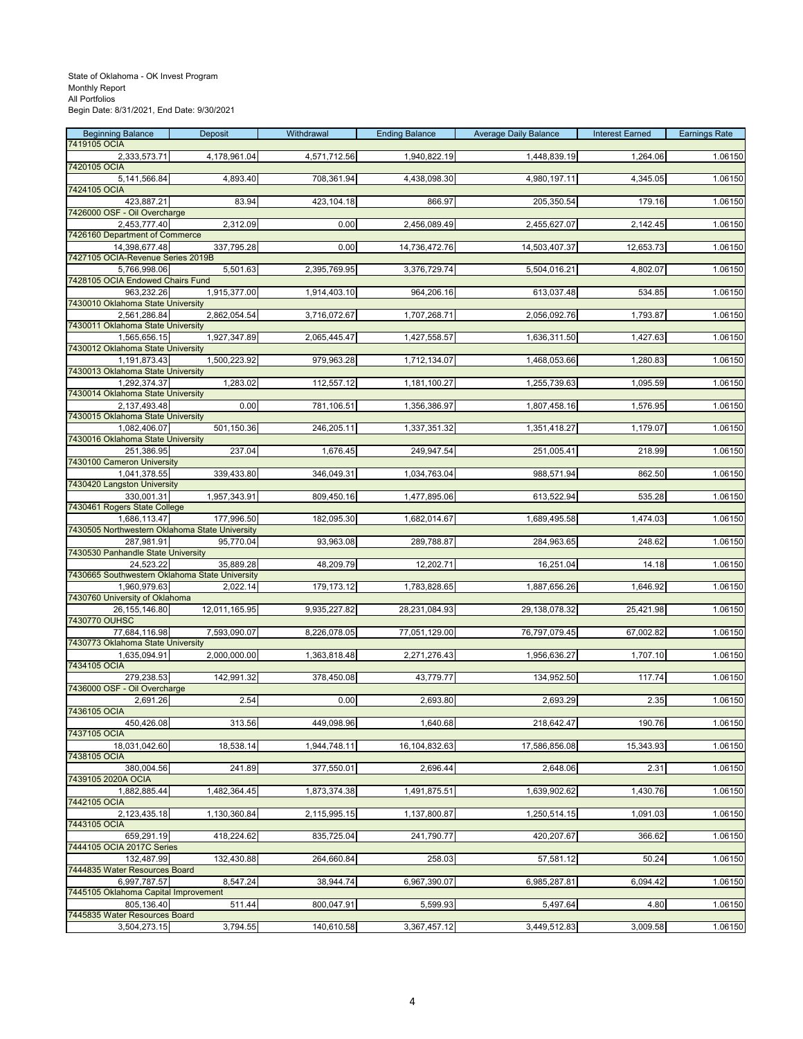| <b>Beginning Balance</b><br>7419105 OCIA                       | Deposit       | Withdrawal   | <b>Ending Balance</b> | <b>Average Daily Balance</b> | <b>Interest Earned</b> | <b>Earnings Rate</b> |
|----------------------------------------------------------------|---------------|--------------|-----------------------|------------------------------|------------------------|----------------------|
| 2,333,573.71                                                   | 4,178,961.04  | 4,571,712.56 | 1,940,822.19          | 1,448,839.19                 | 1,264.06               | 1.06150              |
| 7420105 OCIA<br>5,141,566.84                                   | 4,893.40      | 708,361.94   | 4,438,098.30          | 4,980,197.11                 | 4,345.05               | 1.06150              |
| 7424105 OCIA                                                   |               |              |                       |                              |                        |                      |
| 423,887.21<br>7426000 OSF - Oil Overcharge                     | 83.94         | 423,104.18   | 866.97                | 205,350.54                   | 179.16                 | 1.06150              |
| 2,453,777.40                                                   | 2,312.09      | 0.00         | 2,456,089.49          | 2,455,627.07                 | 2,142.45               | 1.06150              |
| 7426160 Department of Commerce                                 |               |              |                       |                              |                        |                      |
| 14,398,677.48<br>7427105 OCIA-Revenue Series 2019B             | 337,795.28    | 0.00         | 14,736,472.76         | 14,503,407.37                | 12,653.73              | 1.06150              |
| 5,766,998.06                                                   | 5,501.63      | 2,395,769.95 | 3,376,729.74          | 5,504,016.21                 | 4,802.07               | 1.06150              |
| 7428105 OCIA Endowed Chairs Fund<br>963,232.26                 | 1,915,377.00  |              |                       |                              | 534.85                 | 1.06150              |
| 7430010 Oklahoma State University                              |               | 1,914,403.10 | 964,206.16            | 613,037.48                   |                        |                      |
| 2,561,286.84                                                   | 2,862,054.54  | 3,716,072.67 | 1,707,268.71          | 2,056,092.76                 | 1,793.87               | 1.06150              |
| 7430011 Oklahoma State University<br>1,565,656.15              | 1,927,347.89  | 2,065,445.47 | 1,427,558.57          | 1,636,311.50                 | 1,427.63               | 1.06150              |
| 7430012 Oklahoma State University                              |               |              |                       |                              |                        |                      |
| 1,191,873.43<br>7430013 Oklahoma State University              | 1,500,223.92  | 979,963.28   | 1,712,134.07          | 1,468,053.66                 | 1,280.83               | 1.06150              |
| 1,292,374.37                                                   | 1,283.02      | 112,557.12   | 1,181,100.27          | 1,255,739.63                 | 1,095.59               | 1.06150              |
| 7430014 Oklahoma State University                              |               |              |                       |                              |                        |                      |
| 2,137,493.48<br>7430015 Oklahoma State University              | 0.00          | 781,106.51   | 1,356,386.97          | 1,807,458.16                 | 1,576.95               | 1.06150              |
| 1,082,406.07                                                   | 501,150.36    | 246,205.11   | 1,337,351.32          | 1,351,418.27                 | 1,179.07               | 1.06150              |
| 7430016 Oklahoma State University                              |               |              |                       |                              |                        |                      |
| 251,386.95<br>7430100 Cameron University                       | 237.04        | 1,676.45     | 249,947.54            | 251,005.41                   | 218.99                 | 1.06150              |
| 1,041,378.55                                                   | 339,433.80    | 346,049.31   | 1,034,763.04          | 988,571.94                   | 862.50                 | 1.06150              |
| 7430420 Langston University<br>330,001.31                      | 1,957,343.91  | 809,450.16   | 1,477,895.06          | 613,522.94                   | 535.28                 | 1.06150              |
| 7430461 Rogers State College                                   |               |              |                       |                              |                        |                      |
| 1,686,113.47<br>7430505 Northwestern Oklahoma State University | 177,996.50    | 182,095.30   | 1,682,014.67          | 1,689,495.58                 | 1,474.03               | 1.06150              |
| 287,981.91                                                     | 95,770.04     | 93,963.08    | 289,788.87            | 284,963.65                   | 248.62                 | 1.06150              |
| 7430530 Panhandle State University                             |               |              |                       |                              |                        |                      |
| 24,523.22<br>7430665 Southwestern Oklahoma State University    | 35,889.28     | 48,209.79    | 12,202.71             | 16,251.04                    | 14.18                  | 1.06150              |
| 1,960,979.63                                                   | 2,022.14      | 179,173.12   | 1,783,828.65          | 1,887,656.26                 | 1,646.92               | 1.06150              |
| 7430760 University of Oklahoma<br>26, 155, 146.80              | 12,011,165.95 | 9,935,227.82 | 28,231,084.93         |                              | 25,421.98              | 1.06150              |
| 7430770 OUHSC                                                  |               |              |                       | 29,138,078.32                |                        |                      |
| 77,684,116.98                                                  | 7,593,090.07  | 8,226,078.05 | 77,051,129.00         | 76,797,079.45                | 67,002.82              | 1.06150              |
| 7430773 Oklahoma State University<br>1,635,094.91              | 2,000,000.00  | 1,363,818.48 | 2,271,276.43          | 1,956,636.27                 | 1,707.10               | 1.06150              |
| 7434105 OCIA                                                   |               |              |                       |                              |                        |                      |
| 279,238.53<br>7436000 OSF - Oil Overcharge                     | 142,991.32    | 378,450.08   | 43,779.77             | 134,952.50                   | 117.74                 | 1.06150              |
| 2,691.26                                                       | 2.54          | 0.00         | 2,693.80              | 2,693.29                     | 2.35                   | 1.06150              |
| 7436105 OCIA                                                   |               |              |                       |                              |                        |                      |
| 450,426.08<br>7437105 OCIA                                     | 313.56        | 449,098.96   | 1,640.68              | 218,642.47                   | 190.76                 | 1.06150              |
| 18,031,042.60                                                  | 18,538.14     | 1,944,748.11 | 16,104,832.63         | 17,586,856.08                | 15,343.93              | 1.06150              |
| 7438105 OCIA<br>380,004.56                                     | 241.89        | 377,550.01   | 2,696.44              | 2,648.06                     | 2.31                   | 1.06150              |
| 7439105 2020A OCIA                                             |               |              |                       |                              |                        |                      |
| 1,882,885.44                                                   | 1,482,364.45  | 1,873,374.38 | 1,491,875.51          | 1,639,902.62                 | 1,430.76               | 1.06150              |
| 7442105 OCIA<br>2,123,435.18                                   | 1,130,360.84  | 2,115,995.15 | 1,137,800.87          | 1,250,514.15                 | 1,091.03               | 1.06150              |
| 7443105 OCIA                                                   |               |              |                       |                              |                        |                      |
| 659,291.19<br>7444105 OCIA 2017C Series                        | 418,224.62    | 835,725.04   | 241,790.77            | 420,207.67                   | 366.62                 | 1.06150              |
| 132.487.99                                                     | 132,430.88    | 264,660.84   | 258.03                | 57,581.12                    | 50.24                  | 1.06150              |
| 7444835 Water Resources Board                                  |               |              |                       |                              |                        |                      |
| 6,997,787.57<br>7445105 Oklahoma Capital Improvement           | 8,547.24      | 38,944.74    | 6,967,390.07          | 6,985,287.81                 | 6,094.42               | 1.06150              |
| 805,136.40                                                     | 511.44        | 800,047.91   | 5,599.93              | 5,497.64                     | 4.80                   | 1.06150              |
| 7445835 Water Resources Board<br>3,504,273.15                  | 3,794.55      | 140,610.58   | 3,367,457.12          | 3,449,512.83                 | 3,009.58               | 1.06150              |
|                                                                |               |              |                       |                              |                        |                      |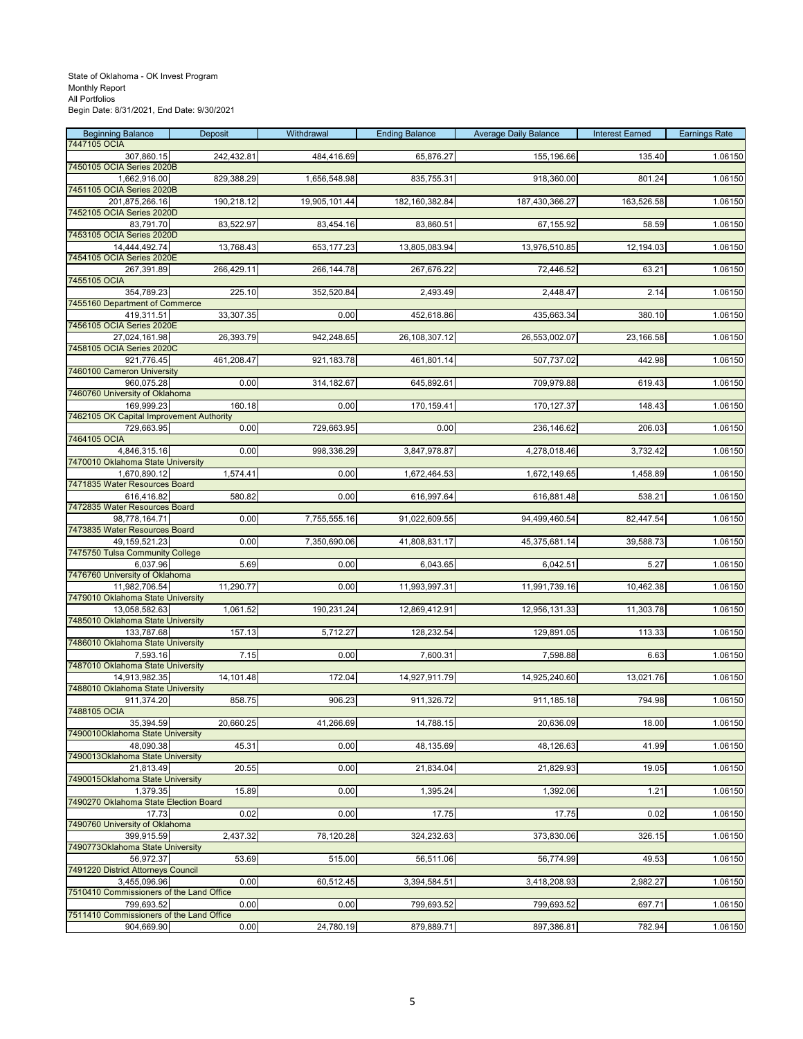| <b>Beginning Balance</b>                                 | Deposit    | Withdrawal    | <b>Ending Balance</b> | <b>Average Daily Balance</b> | <b>Interest Earned</b> | <b>Earnings Rate</b> |
|----------------------------------------------------------|------------|---------------|-----------------------|------------------------------|------------------------|----------------------|
| 7447105 OCIA<br>307,860.15                               | 242,432.81 | 484,416.69    | 65,876.27             | 155,196.66                   | 135.40                 | 1.06150              |
| 7450105 OCIA Series 2020B                                |            |               |                       |                              |                        |                      |
| 1,662,916.00<br>7451105 OCIA Series 2020B                | 829,388.29 | 1,656,548.98  | 835,755.31            | 918,360.00                   | 801.24                 | 1.06150              |
| 201,875,266.16                                           | 190,218.12 | 19,905,101.44 | 182, 160, 382.84      | 187,430,366.27               | 163,526.58             | 1.06150              |
| 7452105 OCIA Series 2020D                                |            |               |                       |                              |                        |                      |
| 83,791.70<br>7453105 OCIA Series 2020D                   | 83,522.97  | 83,454.16     | 83,860.51             | 67,155.92                    | 58.59                  | 1.06150              |
| 14,444,492.74                                            | 13,768.43  | 653,177.23    | 13,805,083.94         | 13,976,510.85                | 12,194.03              | 1.06150              |
| 7454105 OCIA Series 2020E                                |            |               |                       |                              |                        |                      |
| 267,391.89<br>7455105 OCIA                               | 266,429.11 | 266,144.78    | 267,676.22            | 72,446.52                    | 63.21                  | 1.06150              |
| 354,789.23                                               | 225.10     | 352,520.84    | 2,493.49              | 2,448.47                     | 2.14                   | 1.06150              |
| 7455160 Department of Commerce                           |            |               |                       |                              |                        |                      |
| 419,311.51<br>7456105 OCIA Series 2020E                  | 33,307.35  | 0.00          | 452,618.86            | 435,663.34                   | 380.10                 | 1.06150              |
| 27,024,161.98                                            | 26,393.79  | 942,248.65    | 26,108,307.12         | 26,553,002.07                | 23,166.58              | 1.06150              |
| 7458105 OCIA Series 2020C                                |            |               |                       |                              |                        |                      |
| 921,776.45                                               | 461,208.47 | 921,183.78    | 461,801.14            | 507,737.02                   | 442.98                 | 1.06150              |
| 7460100 Cameron University<br>960,075.28                 | 0.00       | 314,182.67    | 645,892.61            | 709,979.88                   | 619.43                 | 1.06150              |
| 7460760 University of Oklahoma                           |            |               |                       |                              |                        |                      |
| 169,999.23                                               | 160.18     | 0.00          | 170,159.41            | 170,127.37                   | 148.43                 | 1.06150              |
| 7462105 OK Capital Improvement Authority<br>729,663.95   | 0.00       | 729,663.95    | 0.00                  | 236,146.62                   | 206.03                 | 1.06150              |
| 7464105 OCIA                                             |            |               |                       |                              |                        |                      |
| 4,846,315.16                                             | 0.00       | 998,336.29    | 3,847,978.87          | 4,278,018.46                 | 3,732.42               | 1.06150              |
| 7470010 Oklahoma State University<br>1,670,890.12        | 1,574.41   | 0.00          | 1,672,464.53          | 1,672,149.65                 | 1,458.89               | 1.06150              |
| 7471835 Water Resources Board                            |            |               |                       |                              |                        |                      |
| 616,416.82                                               | 580.82     | 0.00          | 616,997.64            | 616,881.48                   | 538.21                 | 1.06150              |
| 7472835 Water Resources Board<br>98,778,164.71           | 0.00       | 7,755,555.16  | 91,022,609.55         | 94,499,460.54                | 82,447.54              | 1.06150              |
| 7473835 Water Resources Board                            |            |               |                       |                              |                        |                      |
| 49, 159, 521. 23                                         | 0.00       | 7,350,690.06  | 41,808,831.17         | 45,375,681.14                | 39,588.73              | 1.06150              |
| 7475750 Tulsa Community College<br>6,037.96              | 5.69       | 0.00          | 6,043.65              | 6,042.51                     | 5.27                   | 1.06150              |
| 7476760 University of Oklahoma                           |            |               |                       |                              |                        |                      |
| 11,982,706.54                                            | 11,290.77  | 0.00          | 11,993,997.31         | 11,991,739.16                | 10,462.38              | 1.06150              |
| 7479010 Oklahoma State University                        |            |               |                       |                              |                        |                      |
| 13,058,582.63<br>7485010 Oklahoma State University       | 1,061.52   | 190,231.24    | 12,869,412.91         | 12,956,131.33                | 11,303.78              | 1.06150              |
| 133,787.68                                               | 157.13     | 5,712.27      | 128,232.54            | 129,891.05                   | 113.33                 | 1.06150              |
| 7486010 Oklahoma State University                        |            |               |                       |                              |                        |                      |
| 7,593.16<br>7487010 Oklahoma State University            | 7.15       | 0.00          | 7,600.31              | 7,598.88                     | 6.63                   | 1.06150              |
| 14,913,982.35                                            | 14,101.48  | 172.04        | 14,927,911.79         | 14,925,240.60                | 13,021.76              | 1.06150              |
| 7488010 Oklahoma State University                        |            |               |                       |                              |                        |                      |
| 911,374.20<br>7488105 OCIA                               | 858.75     | 906.23        | 911,326.72            | 911,185.18                   | 794.98                 | 1.06150              |
| 35,394.59                                                | 20,660.25  | 41,266.69     | 14,788.15             | 20,636.09                    | 18.00                  | 1.06150              |
| 7490010Oklahoma State University                         |            |               |                       |                              |                        |                      |
| 48,090.38<br>7490013Oklahoma State University            | 45.31      | 0.00          | 48,135.69             | 48,126.63                    | 41.99                  | 1.06150              |
| 21.813.49                                                | 20.55      | 0.00          | 21,834.04             | 21,829.93                    | 19.05                  | 1.06150              |
| 7490015Oklahoma State University                         |            |               |                       |                              |                        |                      |
| 1,379.35<br>7490270 Oklahoma State Election Board        | 15.89      | 0.00          | 1,395.24              | 1,392.06                     | 1.21                   | 1.06150              |
| 17.73                                                    | 0.02       | 0.00          | 17.75                 | 17.75                        | 0.02                   | 1.06150              |
| 7490760 University of Oklahoma                           |            |               |                       |                              |                        |                      |
| 399,915.59<br>7490773Oklahoma State University           | 2,437.32   | 78,120.28     | 324,232.63            | 373,830.06                   | 326.15                 | 1.06150              |
| 56,972.37                                                | 53.69      | 515.00        | 56,511.06             | 56,774.99                    | 49.53                  | 1.06150              |
| 7491220 District Attorneys Council                       |            |               |                       |                              |                        |                      |
| 3,455,096.96<br>7510410 Commissioners of the Land Office | 0.00       | 60,512.45     | 3,394,584.51          | 3,418,208.93                 | 2,982.27               | 1.06150              |
| 799,693.52                                               | 0.00       | 0.00          | 799,693.52            | 799,693.52                   | 697.71                 | 1.06150              |
| 7511410 Commissioners of the Land Office                 |            |               |                       |                              |                        |                      |
| 904,669.90                                               | 0.00       | 24,780.19     | 879,889.71            | 897,386.81                   | 782.94                 | 1.06150              |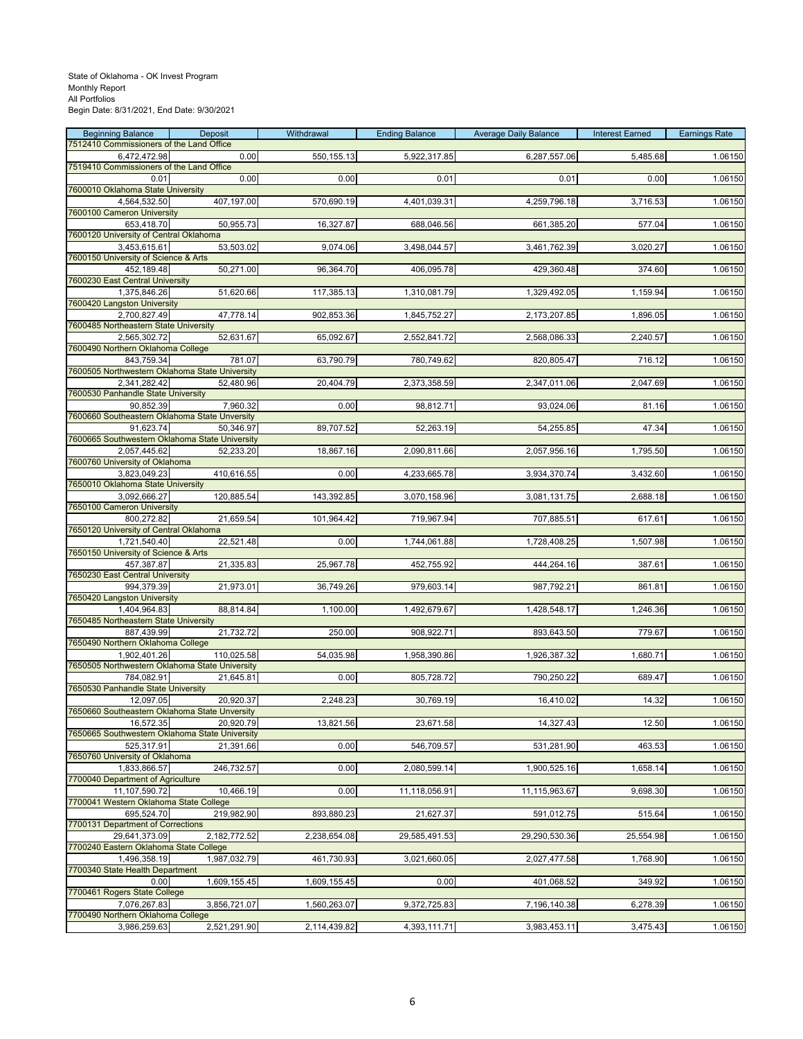| <b>Beginning Balance</b>                                 | Deposit      | Withdrawal   | <b>Ending Balance</b> | <b>Average Daily Balance</b> | <b>Interest Earned</b> | <b>Earnings Rate</b> |
|----------------------------------------------------------|--------------|--------------|-----------------------|------------------------------|------------------------|----------------------|
| 7512410 Commissioners of the Land Office                 |              |              |                       |                              |                        |                      |
| 6,472,472.98<br>7519410 Commissioners of the Land Office | 0.00         | 550, 155. 13 | 5,922,317.85          | 6,287,557.06                 | 5,485.68               | 1.06150              |
| 0.01                                                     | 0.00         | 0.00         | 0.01                  | 0.01                         | 0.00                   | 1.06150              |
| 7600010 Oklahoma State University                        |              |              |                       |                              |                        |                      |
| 4,564,532.50                                             | 407,197.00   | 570,690.19   | 4,401,039.31          | 4,259,796.18                 | 3,716.53               | 1.06150              |
| 7600100 Cameron University                               |              |              |                       |                              |                        |                      |
| 653,418.70<br>7600120 University of Central Oklahoma     | 50,955.73    | 16,327.87    | 688,046.56            | 661,385.20                   | 577.04                 | 1.06150              |
| 3,453,615.61                                             | 53,503.02    | 9,074.06     | 3,498,044.57          | 3,461,762.39                 | 3,020.27               | 1.06150              |
| 7600150 University of Science & Arts                     |              |              |                       |                              |                        |                      |
| 452,189.48                                               | 50,271.00    | 96,364.70    | 406,095.78            | 429,360.48                   | 374.60                 | 1.06150              |
| 7600230 East Central University                          |              |              |                       |                              |                        |                      |
| 1,375,846.26<br>7600420 Langston University              | 51,620.66    | 117,385.13   | 1,310,081.79          | 1,329,492.05                 | 1,159.94               | 1.06150              |
| 2,700,827.49                                             | 47,778.14    | 902,853.36   | 1,845,752.27          | 2,173,207.85                 | 1,896.05               | 1.06150              |
| 7600485 Northeastern State University                    |              |              |                       |                              |                        |                      |
| 2,565,302.72                                             | 52,631.67    | 65,092.67    | 2,552,841.72          | 2,568,086.33                 | 2,240.57               | 1.06150              |
| 7600490 Northern Oklahoma College                        |              |              |                       |                              |                        |                      |
| 843,759.34                                               | 781.07       | 63,790.79    | 780,749.62            | 820,805.47                   | 716.12                 | 1.06150              |
| 7600505 Northwestern Oklahoma State University           |              | 20,404.79    |                       |                              |                        |                      |
| 2,341,282.42<br>7600530 Panhandle State University       | 52,480.96    |              | 2,373,358.59          | 2,347,011.06                 | 2,047.69               | 1.06150              |
| 90.852.39                                                | 7,960.32     | 0.00         | 98,812.71             | 93,024.06                    | 81.16                  | 1.06150              |
| 7600660 Southeastern Oklahoma State Unversity            |              |              |                       |                              |                        |                      |
| 91,623.74                                                | 50.346.97    | 89,707.52    | 52,263.19             | 54,255.85                    | 47.34                  | 1.06150              |
| 7600665 Southwestern Oklahoma State University           |              |              |                       |                              |                        |                      |
| 2,057,445.62                                             | 52,233.20    | 18,867.16    | 2,090,811.66          | 2,057,956.16                 | 1,795.50               | 1.06150              |
| 7600760 University of Oklahoma<br>3,823,049.23           | 410,616.55   | 0.00         | 4,233,665.78          | 3,934,370.74                 | 3,432.60               | 1.06150              |
| 7650010 Oklahoma State University                        |              |              |                       |                              |                        |                      |
| 3,092,666.27                                             | 120,885.54   | 143,392.85   | 3,070,158.96          | 3,081,131.75                 | 2,688.18               | 1.06150              |
| 7650100 Cameron University                               |              |              |                       |                              |                        |                      |
| 800,272.82                                               | 21,659.54    | 101,964.42   | 719,967.94            | 707,885.51                   | 617.61                 | 1.06150              |
| 7650120 University of Central Oklahoma<br>1,721,540.40   | 22,521.48    | 0.00         | 1,744,061.88          |                              |                        | 1.06150              |
| 7650150 University of Science & Arts                     |              |              |                       | 1,728,408.25                 | 1,507.98               |                      |
| 457,387.87                                               | 21,335.83    | 25,967.78    | 452,755.92            | 444,264.16                   | 387.61                 | 1.06150              |
| 7650230 East Central University                          |              |              |                       |                              |                        |                      |
| 994,379.39                                               | 21,973.01    | 36,749.26    | 979,603.14            | 987,792.21                   | 861.81                 | 1.06150              |
| 7650420 Langston University                              |              |              |                       |                              |                        |                      |
| 1,404,964.83<br>7650485 Northeastern State University    | 88,814.84    | 1,100.00     | 1,492,679.67          | 1,428,548.17                 | 1,246.36               | 1.06150              |
| 887,439.99                                               | 21,732.72    | 250.00       | 908,922.71            | 893,643.50                   | 779.67                 | 1.06150              |
| 7650490 Northern Oklahoma College                        |              |              |                       |                              |                        |                      |
| 1,902,401.26                                             | 110,025.58   | 54,035.98    | 1,958,390.86          | 1,926,387.32                 | 1,680.71               | 1.06150              |
| 7650505 Northwestern Oklahoma State University           |              |              |                       |                              |                        |                      |
| 784,082.91                                               | 21,645.81    | 0.00         | 805,728.72            | 790,250.22                   | 689.47                 | 1.06150              |
| 7650530 Panhandle State University<br>12,097.05          | 20,920.37    | 2,248.23     | 30,769.19             | 16,410.02                    | 14.32                  | 1.06150              |
| 7650660 Southeastern Oklahoma State Unversity            |              |              |                       |                              |                        |                      |
| 16,572.35                                                | 20,920.79    | 13,821.56    | 23,671.58             | 14,327.43                    | 12.50                  | 1.06150              |
| 7650665 Southwestern Oklahoma State University           |              |              |                       |                              |                        |                      |
| 525,317.91                                               | 21,391.66    | 0.00         | 546,709.57            | 531,281.90                   | 463.53                 | 1.06150              |
| 7650760 University of Oklahoma<br>1,833,866.57           | 246,732.57   | 0.00         | 2,080,599.14          | 1,900,525.16                 | 1,658.14               | 1.06150              |
| 7700040 Department of Agriculture                        |              |              |                       |                              |                        |                      |
| 11,107,590.72                                            | 10,466.19    | 0.00         | 11,118,056.91         | 11,115,963.67                | 9,698.30               | 1.06150              |
| 7700041 Western Oklahoma State College                   |              |              |                       |                              |                        |                      |
| 695,524.70                                               | 219,982.90   | 893,880.23   | 21,627.37             | 591,012.75                   | 515.64                 | 1.06150              |
| 7700131 Department of Corrections                        |              |              |                       |                              |                        |                      |
| 29,641,373.09<br>7700240 Eastern Oklahoma State College  | 2,182,772.52 | 2,238,654.08 | 29,585,491.53         | 29,290,530.36                | 25,554.98              | 1.06150              |
| 1,496,358.19                                             | 1,987,032.79 | 461,730.93   | 3,021,660.05          | 2,027,477.58                 | 1,768.90               | 1.06150              |
| 7700340 State Health Department                          |              |              |                       |                              |                        |                      |
| 0.00                                                     | 1,609,155.45 | 1,609,155.45 | 0.00                  | 401,068.52                   | 349.92                 | 1.06150              |
| 7700461 Rogers State College                             |              |              |                       |                              |                        |                      |
| 7,076,267.83                                             | 3,856,721.07 | 1,560,263.07 | 9,372,725.83          | 7,196,140.38                 | 6,278.39               | 1.06150              |
| 7700490 Northern Oklahoma College<br>3,986,259.63        | 2,521,291.90 | 2,114,439.82 | 4,393,111.71          | 3,983,453.11                 | 3,475.43               | 1.06150              |
|                                                          |              |              |                       |                              |                        |                      |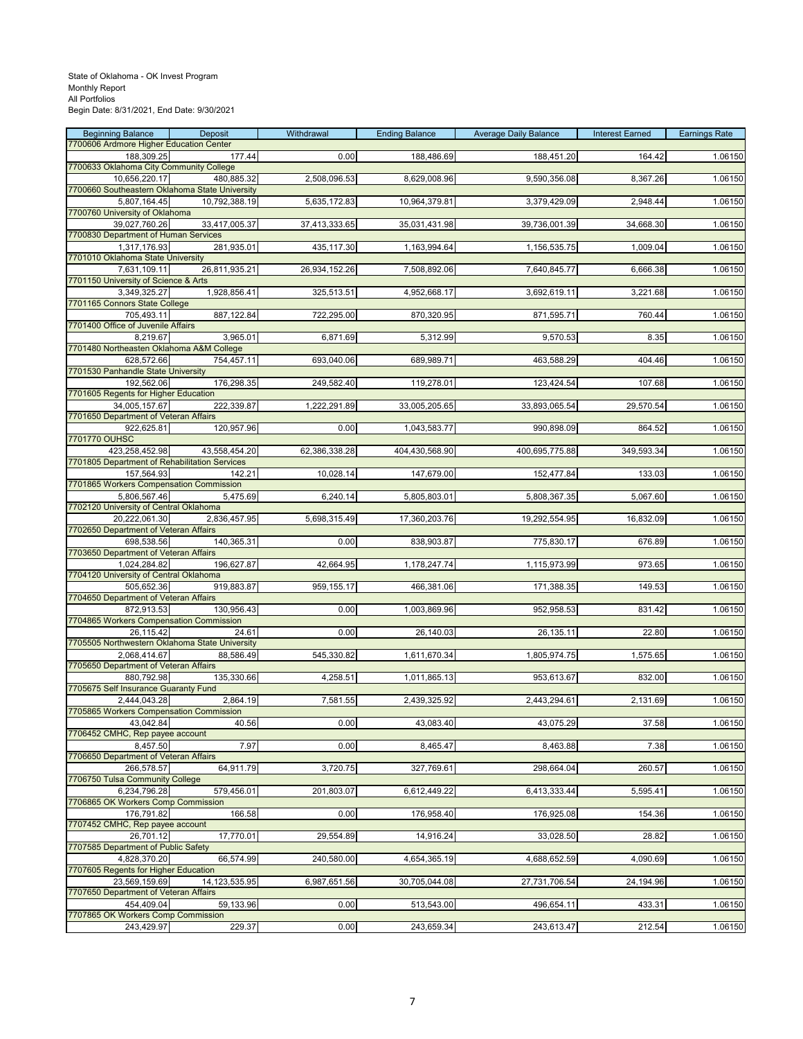| <b>Beginning Balance</b>                               | Deposit          | Withdrawal    | <b>Ending Balance</b> | <b>Average Daily Balance</b> | <b>Interest Earned</b> | <b>Earnings Rate</b> |
|--------------------------------------------------------|------------------|---------------|-----------------------|------------------------------|------------------------|----------------------|
| 7700606 Ardmore Higher Education Center                |                  |               |                       |                              |                        |                      |
| 188,309.25<br>7700633 Oklahoma City Community College  | 177.44           | 0.00          | 188,486.69            | 188,451.20                   | 164.42                 | 1.06150              |
| 10,656,220.17                                          | 480,885.32       | 2,508,096.53  | 8,629,008.96          | 9,590,356.08                 | 8,367.26               | 1.06150              |
| 7700660 Southeastern Oklahoma State University         |                  |               |                       |                              |                        |                      |
| 5,807,164.45                                           | 10,792,388.19    | 5,635,172.83  | 10,964,379.81         | 3,379,429.09                 | 2,948.44               | 1.06150              |
| 7700760 University of Oklahoma                         |                  |               |                       |                              |                        |                      |
| 39,027,760.26<br>7700830 Department of Human Services  | 33,417,005.37    | 37,413,333.65 | 35,031,431.98         | 39,736,001.39                | 34,668.30              | 1.06150              |
| 1,317,176.93                                           | 281,935.01       | 435,117.30    | 1,163,994.64          | 1,156,535.75                 | 1,009.04               | 1.06150              |
| 7701010 Oklahoma State University                      |                  |               |                       |                              |                        |                      |
| 7,631,109.11                                           | 26,811,935.21    | 26,934,152.26 | 7,508,892.06          | 7,640,845.77                 | 6,666.38               | 1.06150              |
| 7701150 University of Science & Arts                   |                  |               |                       |                              |                        |                      |
| 3,349,325.27                                           | 1,928,856.41     | 325,513.51    | 4,952,668.17          | 3,692,619.11                 | 3,221.68               | 1.06150              |
| 7701165 Connors State College                          |                  |               |                       |                              |                        |                      |
| 705.493.11<br>7701400 Office of Juvenile Affairs       | 887,122.84       | 722,295.00    | 870,320.95            | 871,595.71                   | 760.44                 | 1.06150              |
| 8,219.67                                               | 3,965.01         | 6,871.69      | 5,312.99              | 9,570.53                     | 8.35                   | 1.06150              |
| 7701480 Northeasten Oklahoma A&M College               |                  |               |                       |                              |                        |                      |
| 628,572.66                                             | 754,457.11       | 693,040.06    | 689,989.71            | 463,588.29                   | 404.46                 | 1.06150              |
| 7701530 Panhandle State University                     |                  |               |                       |                              |                        |                      |
| 192,562.06                                             | 176,298.35       | 249,582.40    | 119,278.01            | 123,424.54                   | 107.68                 | 1.06150              |
| 7701605 Regents for Higher Education                   |                  |               |                       |                              |                        |                      |
| 34,005,157.67<br>7701650 Department of Veteran Affairs | 222,339.87       | 1,222,291.89  | 33,005,205.65         | 33,893,065.54                | 29,570.54              | 1.06150              |
| 922,625.81                                             | 120,957.96       | 0.00          | 1,043,583.77          | 990,898.09                   | 864.52                 | 1.06150              |
| 7701770 OUHSC                                          |                  |               |                       |                              |                        |                      |
| 423,258,452.98                                         | 43,558,454.20    | 62,386,338.28 | 404,430,568.90        | 400,695,775.88               | 349,593.34             | 1.06150              |
| 7701805 Department of Rehabilitation Services          |                  |               |                       |                              |                        |                      |
| 157,564.93                                             | 142.21           | 10,028.14     | 147,679.00            | 152,477.84                   | 133.03                 | 1.06150              |
| 7701865 Workers Compensation Commission                |                  |               |                       |                              |                        |                      |
| 5,806,567.46<br>7702120 University of Central Oklahoma | 5,475.69         | 6,240.14      | 5,805,803.01          | 5,808,367.35                 | 5,067.60               | 1.06150              |
| 20,222,061.30                                          | 2,836,457.95     | 5,698,315.49  | 17,360,203.76         | 19,292,554.95                | 16,832.09              | 1.06150              |
| 7702650 Department of Veteran Affairs                  |                  |               |                       |                              |                        |                      |
| 698,538.56                                             | 140,365.31       | 0.00          | 838,903.87            | 775,830.17                   | 676.89                 | 1.06150              |
| 7703650 Department of Veteran Affairs                  |                  |               |                       |                              |                        |                      |
| 1,024,284.82                                           | 196,627.87       | 42,664.95     | 1,178,247.74          | 1,115,973.99                 | 973.65                 | 1.06150              |
| 7704120 University of Central Oklahoma<br>505,652.36   | 919,883.87       | 959,155.17    | 466,381.06            | 171,388.35                   | 149.53                 | 1.06150              |
| 7704650 Department of Veteran Affairs                  |                  |               |                       |                              |                        |                      |
| 872,913.53                                             | 130,956.43       | 0.00          | 1,003,869.96          | 952,958.53                   | 831.42                 | 1.06150              |
| 7704865 Workers Compensation Commission                |                  |               |                       |                              |                        |                      |
| 26,115.42                                              | 24.61            | 0.00          | 26,140.03             | 26,135.11                    | 22.80                  | 1.06150              |
| 7705505 Northwestern Oklahoma State University         |                  |               |                       |                              |                        |                      |
| 2,068,414.67                                           | 88,586.49        | 545,330.82    | 1,611,670.34          | 1,805,974.75                 | 1,575.65               | 1.06150              |
| 7705650 Department of Veteran Affairs<br>880,792.98    | 135,330.66       | 4,258.51      | 1,011,865.13          | 953,613.67                   | 832.00                 | 1.06150              |
| 7705675 Self Insurance Guaranty Fund                   |                  |               |                       |                              |                        |                      |
| 2,444,043.28                                           | 2,864.19         | 7,581.55      | 2,439,325.92          | 2,443,294.61                 | 2,131.69               | 1.06150              |
| 7705865 Workers Compensation Commission                |                  |               |                       |                              |                        |                      |
| 43,042.84                                              | 40.56            | 0.00          | 43,083.40             | 43,075.29                    | 37.58                  | 1.06150              |
| 7706452 CMHC, Rep payee account                        |                  |               |                       |                              |                        |                      |
| 8,457.50<br>7706650 Department of Veteran Affairs      | 7.97             | 0.00          | 8,465.47              | 8,463.88                     | 7.38                   | 1.06150              |
| 266,578.57                                             | 64,911.79        | 3,720.75      | 327,769.61            | 298,664.04                   | 260.57                 | 1.06150              |
| 7706750 Tulsa Community College                        |                  |               |                       |                              |                        |                      |
| 6.234.796.28                                           | 579,456.01       | 201,803.07    | 6,612,449.22          | 6,413,333.44                 | 5,595.41               | 1.06150              |
| 7706865 OK Workers Comp Commission                     |                  |               |                       |                              |                        |                      |
| 176,791.82                                             | 166.58           | 0.00          | 176,958.40            | 176,925.08                   | 154.36                 | 1.06150              |
| 7707452 CMHC, Rep payee account                        |                  |               |                       |                              |                        |                      |
| 26,701.12<br>7707585 Department of Public Safety       | 17,770.01        | 29,554.89     | 14,916.24             | 33,028.50                    | 28.82                  | 1.06150              |
| 4,828,370.20                                           | 66,574.99        | 240,580.00    | 4,654,365.19          | 4,688,652.59                 | 4,090.69               | 1.06150              |
| 7707605 Regents for Higher Education                   |                  |               |                       |                              |                        |                      |
| 23,569,159.69                                          | 14, 123, 535. 95 | 6,987,651.56  | 30,705,044.08         | 27,731,706.54                | 24,194.96              | 1.06150              |
| 7707650 Department of Veteran Affairs                  |                  |               |                       |                              |                        |                      |
| 454,409.04                                             | 59,133.96        | 0.00          | 513,543.00            | 496,654.11                   | 433.31                 | 1.06150              |
| 7707865 OK Workers Comp Commission                     |                  |               |                       |                              |                        |                      |
| 243,429.97                                             | 229.37           | 0.00          | 243,659.34            | 243,613.47                   | 212.54                 | 1.06150              |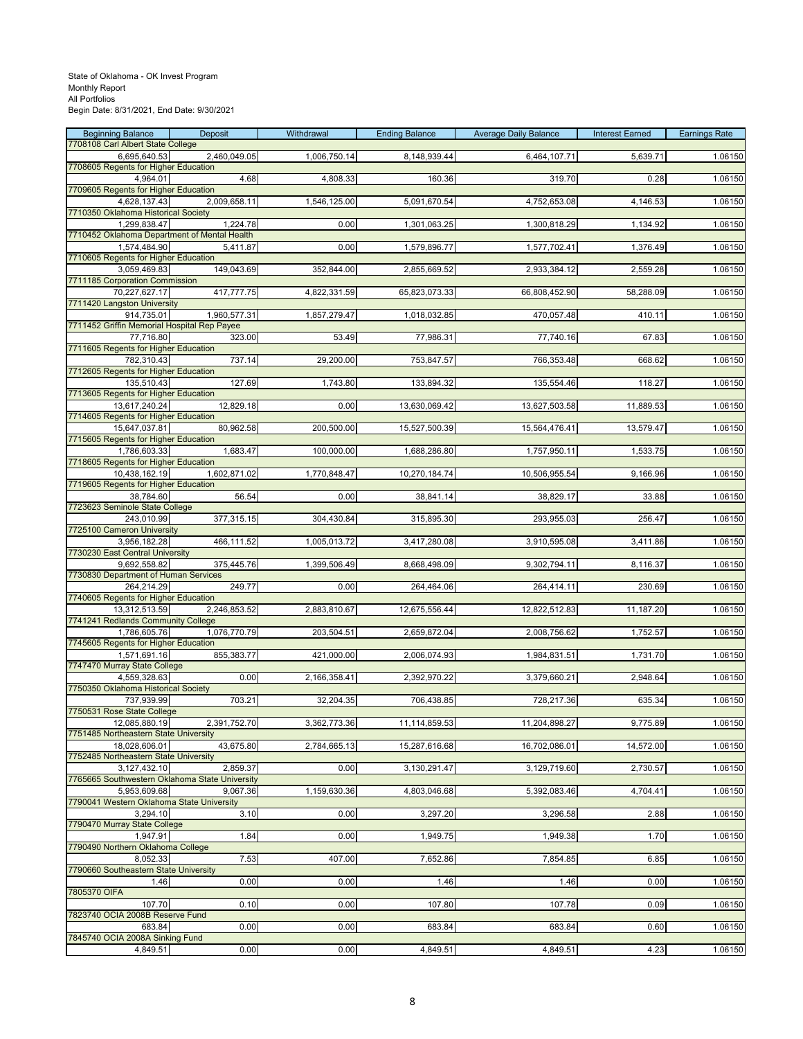| <b>Beginning Balance</b><br>7708108 Carl Albert State College | Deposit      | Withdrawal   | <b>Ending Balance</b> | <b>Average Daily Balance</b> | <b>Interest Earned</b> | <b>Earnings Rate</b> |
|---------------------------------------------------------------|--------------|--------------|-----------------------|------------------------------|------------------------|----------------------|
| 6,695,640.53                                                  | 2,460,049.05 | 1,006,750.14 | 8,148,939.44          | 6,464,107.71                 | 5,639.71               | 1.06150              |
| 7708605 Regents for Higher Education                          |              |              |                       |                              |                        |                      |
| 4,964.01<br>7709605 Regents for Higher Education              | 4.68         | 4,808.33     | 160.36                | 319.70                       | 0.28                   | 1.06150              |
| 4,628,137.43                                                  | 2,009,658.11 | 1,546,125.00 | 5,091,670.54          | 4,752,653.08                 | 4,146.53               | 1.06150              |
| 7710350 Oklahoma Historical Society                           |              |              |                       |                              |                        |                      |
| 1,299,838.47                                                  | 1,224.78     | 0.00         | 1,301,063.25          | 1,300,818.29                 | 1,134.92               | 1.06150              |
| 7710452 Oklahoma Department of Mental Health<br>1,574,484.90  | 5,411.87     | 0.00         | 1,579,896.77          | 1,577,702.41                 | 1,376.49               | 1.06150              |
| 7710605 Regents for Higher Education                          |              |              |                       |                              |                        |                      |
| 3,059,469.83                                                  | 149,043.69   | 352,844.00   | 2,855,669.52          | 2,933,384.12                 | 2,559.28               | 1.06150              |
| 7711185 Corporation Commission<br>70,227,627.17               | 417,777.75   | 4,822,331.59 | 65,823,073.33         | 66,808,452.90                | 58,288.09              | 1.06150              |
| 7711420 Langston University                                   |              |              |                       |                              |                        |                      |
| 914.735.01                                                    | 1,960,577.31 | 1,857,279.47 | 1,018,032.85          | 470,057.48                   | 410.11                 | 1.06150              |
| 7711452 Griffin Memorial Hospital Rep Payee<br>77,716.80      | 323.00       | 53.49        | 77,986.31             | 77,740.16                    | 67.83                  | 1.06150              |
| 7711605 Regents for Higher Education                          |              |              |                       |                              |                        |                      |
| 782,310.43                                                    | 737.14       | 29,200.00    | 753,847.57            | 766,353.48                   | 668.62                 | 1.06150              |
| 7712605 Regents for Higher Education<br>135,510.43            | 127.69       | 1,743.80     | 133,894.32            | 135,554.46                   | 118.27                 | 1.06150              |
| 7713605 Regents for Higher Education                          |              |              |                       |                              |                        |                      |
| 13,617,240.24                                                 | 12,829.18    | 0.00         | 13,630,069.42         | 13,627,503.58                | 11,889.53              | 1.06150              |
| 7714605 Regents for Higher Education                          |              | 200,500.00   |                       |                              |                        | 1.06150              |
| 15,647,037.81<br>7715605 Regents for Higher Education         | 80,962.58    |              | 15,527,500.39         | 15,564,476.41                | 13,579.47              |                      |
| 1,786,603.33                                                  | 1,683.47     | 100,000.00   | 1,688,286.80          | 1,757,950.11                 | 1,533.75               | 1.06150              |
| 7718605 Regents for Higher Education                          |              |              |                       |                              |                        |                      |
| 10,438,162.19<br>7719605 Regents for Higher Education         | 1,602,871.02 | 1,770,848.47 | 10,270,184.74         | 10,506,955.54                | 9,166.96               | 1.06150              |
| 38,784.60                                                     | 56.54        | 0.00         | 38,841.14             | 38,829.17                    | 33.88                  | 1.06150              |
| 7723623 Seminole State College                                |              |              |                       |                              |                        |                      |
| 243,010.99<br>7725100 Cameron University                      | 377,315.15   | 304,430.84   | 315,895.30            | 293,955.03                   | 256.47                 | 1.06150              |
| 3,956,182.28                                                  | 466,111.52   | 1,005,013.72 | 3,417,280.08          | 3,910,595.08                 | 3,411.86               | 1.06150              |
| 7730230 East Central University                               |              |              |                       |                              |                        |                      |
| 9,692,558.82<br>7730830 Department of Human Services          | 375,445.76   | 1,399,506.49 | 8,668,498.09          | 9,302,794.11                 | 8,116.37               | 1.06150              |
| 264,214.29                                                    | 249.77       | 0.00         | 264,464.06            | 264,414.11                   | 230.69                 | 1.06150              |
| 7740605 Regents for Higher Education                          |              |              |                       |                              |                        |                      |
| 13,312,513.59<br>7741241 Redlands Community College           | 2,246,853.52 | 2,883,810.67 | 12,675,556.44         | 12,822,512.83                | 11,187.20              | 1.06150              |
| 1,786,605.76                                                  | 1,076,770.79 | 203,504.51   | 2,659,872.04          | 2,008,756.62                 | 1,752.57               | 1.06150              |
| 7745605 Regents for Higher Education                          |              |              |                       |                              |                        |                      |
| 1,571,691.16<br>7747470 Murray State College                  | 855,383.77   | 421,000.00   | 2,006,074.93          | 1,984,831.51                 | 1,731.70               | 1.06150              |
| 4,559,328.63                                                  | 0.00         | 2,166,358.41 | 2,392,970.22          | 3,379,660.21                 | 2,948.64               | 1.06150              |
| 7750350 Oklahoma Historical Society                           |              |              |                       |                              |                        |                      |
| 737,939.99<br>7750531 Rose State College                      | 703.21       | 32,204.35    | 706,438.85            | 728,217.36                   | 635.34                 | 1.06150              |
| 12,085,880.19                                                 | 2,391,752.70 | 3,362,773.36 | 11,114,859.53         | 11,204,898.27                | 9,775.89               | 1.06150              |
| 7751485 Northeastern State University                         |              |              |                       |                              |                        |                      |
| 18,028,606.01<br>7752485 Northeastern State University        | 43,675.80    | 2,784,665.13 | 15,287,616.68         | 16,702,086.01                | 14,572.00              | 1.06150              |
| 3,127,432.10                                                  | 2,859.37     | 0.00         | 3,130,291.47          | 3,129,719.60                 | 2,730.57               | 1.06150              |
| 7765665 Southwestern Oklahoma State University                |              |              |                       |                              |                        |                      |
| 5,953,609.68                                                  | 9,067.36     | 1,159,630.36 | 4,803,046.68          | 5,392,083.46                 | 4,704.41               | 1.06150              |
| 7790041 Western Oklahoma State University<br>3,294.10         | 3.10         | 0.00         | 3,297.20              | 3,296.58                     | 2.88                   | 1.06150              |
| 7790470 Murray State College                                  |              |              |                       |                              |                        |                      |
| 1,947.91                                                      | 1.84         | 0.00         | 1,949.75              | 1,949.38                     | 1.70                   | 1.06150              |
| 7790490 Northern Oklahoma College<br>8,052.33                 | 7.53         | 407.00       | 7,652.86              | 7,854.85                     | 6.85                   | 1.06150              |
| 7790660 Southeastern State University                         |              |              |                       |                              |                        |                      |
| 1.46                                                          | 0.00         | 0.00         | 1.46                  | 1.46                         | 0.00                   | 1.06150              |
| 7805370 OIFA<br>107.70                                        | 0.10         | 0.00         | 107.80                | 107.78                       | 0.09                   | 1.06150              |
| 7823740 OCIA 2008B Reserve Fund                               |              |              |                       |                              |                        |                      |
| 683.84                                                        | 0.00         | 0.00         | 683.84                | 683.84                       | 0.60                   | 1.06150              |
| 7845740 OCIA 2008A Sinking Fund<br>4,849.51                   | 0.00         | 0.00         | 4,849.51              | 4,849.51                     | 4.23                   | 1.06150              |
|                                                               |              |              |                       |                              |                        |                      |